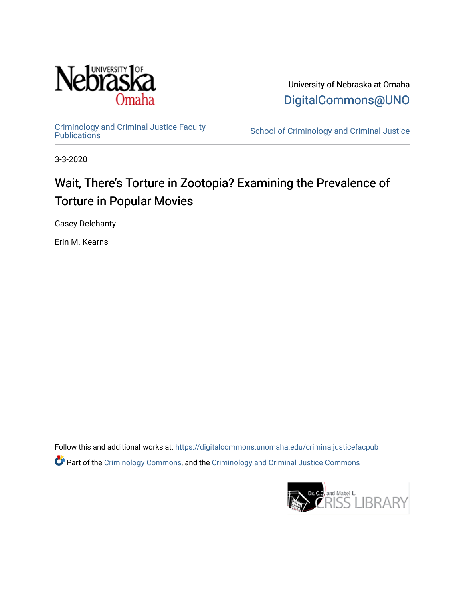

University of Nebraska at Omaha [DigitalCommons@UNO](https://digitalcommons.unomaha.edu/) 

[Criminology and Criminal Justice Faculty](https://digitalcommons.unomaha.edu/criminaljusticefacpub)

School of Criminology and Criminal Justice

3-3-2020

# Wait, There's Torture in Zootopia? Examining the Prevalence of Torture in Popular Movies

Casey Delehanty

Erin M. Kearns

Follow this and additional works at: [https://digitalcommons.unomaha.edu/criminaljusticefacpub](https://digitalcommons.unomaha.edu/criminaljusticefacpub?utm_source=digitalcommons.unomaha.edu%2Fcriminaljusticefacpub%2F116&utm_medium=PDF&utm_campaign=PDFCoverPages)  Part of the [Criminology Commons](https://network.bepress.com/hgg/discipline/417?utm_source=digitalcommons.unomaha.edu%2Fcriminaljusticefacpub%2F116&utm_medium=PDF&utm_campaign=PDFCoverPages), and the [Criminology and Criminal Justice Commons](https://network.bepress.com/hgg/discipline/367?utm_source=digitalcommons.unomaha.edu%2Fcriminaljusticefacpub%2F116&utm_medium=PDF&utm_campaign=PDFCoverPages)

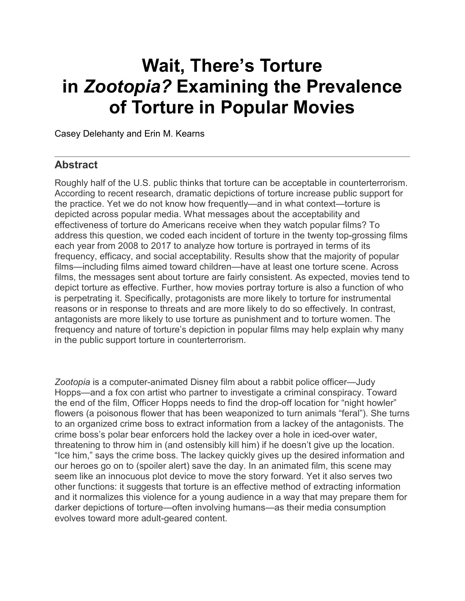# **Wait, There's Torture in** *Zootopia?* **Examining the Prevalence of Torture in Popular Movies**

Casey Delehanty and Erin M. [Kearns](https://www.cambridge.org/core/search?filters%5BauthorTerms%5D=Erin%20M.%20Kearns&eventCode=SE-AU)

### **Abstract**

Roughly half of the U.S. public thinks that torture can be acceptable in counterterrorism. According to recent research, dramatic depictions of torture increase public support for the practice. Yet we do not know how frequently—and in what context—torture is depicted across popular media. What messages about the acceptability and effectiveness of torture do Americans receive when they watch popular films? To address this question, we coded each incident of torture in the twenty top-grossing films each year from 2008 to 2017 to analyze how torture is portrayed in terms of its frequency, efficacy, and social acceptability. Results show that the majority of popular films—including films aimed toward children—have at least one torture scene. Across films, the messages sent about torture are fairly consistent. As expected, movies tend to depict torture as effective. Further, how movies portray torture is also a function of who is perpetrating it. Specifically, protagonists are more likely to torture for instrumental reasons or in response to threats and are more likely to do so effectively. In contrast, antagonists are more likely to use torture as punishment and to torture women. The frequency and nature of torture's depiction in popular films may help explain why many in the public support torture in counterterrorism.

*Zootopia* is a computer-animated Disney film about a rabbit police officer—Judy Hopps—and a fox con artist who partner to investigate a criminal conspiracy. Toward the end of the film, Officer Hopps needs to find the drop-off location for "night howler" flowers (a poisonous flower that has been weaponized to turn animals "feral"). She turns to an organized crime boss to extract information from a lackey of the antagonists. The crime boss's polar bear enforcers hold the lackey over a hole in iced-over water, threatening to throw him in (and ostensibly kill him) if he doesn't give up the location. "Ice him," says the crime boss. The lackey quickly gives up the desired information and our heroes go on to (spoiler alert) save the day. In an animated film, this scene may seem like an innocuous plot device to move the story forward. Yet it also serves two other functions: it suggests that torture is an effective method of extracting information and it normalizes this violence for a young audience in a way that may prepare them for darker depictions of torture—often involving humans—as their media consumption evolves toward more adult-geared content.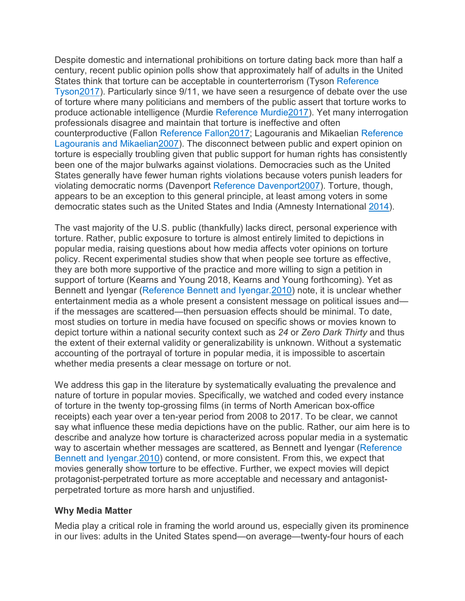Despite domestic and international prohibitions on torture dating back more than half a century, recent public opinion polls show that approximately half of adults in the United States think that torture can be acceptable in counterterrorism (Tyson [Reference](https://www.cambridge.org/core/journals/perspectives-on-politics/article/wait-theres-torture-in-zootopia-examining-the-prevalence-of-torture-in-popular-movies/4C630F7B231053B66DC436EF598F2E32#ref76) [Tyson2017\)](https://www.cambridge.org/core/journals/perspectives-on-politics/article/wait-theres-torture-in-zootopia-examining-the-prevalence-of-torture-in-popular-movies/4C630F7B231053B66DC436EF598F2E32#ref76). Particularly since 9/11, we have seen a resurgence of debate over the use of torture where many politicians and members of the public assert that torture works to produce actionable intelligence (Murdie Reference [Murdie2017\)](https://www.cambridge.org/core/journals/perspectives-on-politics/article/wait-theres-torture-in-zootopia-examining-the-prevalence-of-torture-in-popular-movies/4C630F7B231053B66DC436EF598F2E32#ref57). Yet many interrogation professionals disagree and maintain that torture is ineffective and often counterproductive (Fallon Reference [Fallon2017;](https://www.cambridge.org/core/journals/perspectives-on-politics/article/wait-theres-torture-in-zootopia-examining-the-prevalence-of-torture-in-popular-movies/4C630F7B231053B66DC436EF598F2E32#ref32) Lagouranis and Mikaelian [Reference](https://www.cambridge.org/core/journals/perspectives-on-politics/article/wait-theres-torture-in-zootopia-examining-the-prevalence-of-torture-in-popular-movies/4C630F7B231053B66DC436EF598F2E32#ref51) Lagouranis and [Mikaelian2007\)](https://www.cambridge.org/core/journals/perspectives-on-politics/article/wait-theres-torture-in-zootopia-examining-the-prevalence-of-torture-in-popular-movies/4C630F7B231053B66DC436EF598F2E32#ref51). The disconnect between public and expert opinion on torture is especially troubling given that public support for human rights has consistently been one of the major bulwarks against violations. Democracies such as the United States generally have fewer human rights violations because voters punish leaders for violating democratic norms (Davenport Reference [Davenport2007\)](https://www.cambridge.org/core/journals/perspectives-on-politics/article/wait-theres-torture-in-zootopia-examining-the-prevalence-of-torture-in-popular-movies/4C630F7B231053B66DC436EF598F2E32#ref25). Torture, though, appears to be an exception to this general principle, at least among voters in some democratic states such as the United States and India (Amnesty International [2014\)](https://www.cambridge.org/core/journals/perspectives-on-politics/article/wait-theres-torture-in-zootopia-examining-the-prevalence-of-torture-in-popular-movies/4C630F7B231053B66DC436EF598F2E32#ref2).

The vast majority of the U.S. public (thankfully) lacks direct, personal experience with torture. Rather, public exposure to torture is almost entirely limited to depictions in popular media, raising questions about how media affects voter opinions on torture policy. Recent experimental studies show that when people see torture as effective, they are both more supportive of the practice and more willing to sign a petition in support of torture (Kearns and Young 2018, Kearns and Young forthcoming). Yet as Bennett and Iyengar (Reference Bennett and [Iyengar.2010\)](https://www.cambridge.org/core/journals/perspectives-on-politics/article/wait-theres-torture-in-zootopia-examining-the-prevalence-of-torture-in-popular-movies/4C630F7B231053B66DC436EF598F2E32#ref9) note, it is unclear whether entertainment media as a whole present a consistent message on political issues and if the messages are scattered—then persuasion effects should be minimal. To date, most studies on torture in media have focused on specific shows or movies known to depict torture within a national security context such as *24* or *Zero Dark Thirty* and thus the extent of their external validity or generalizability is unknown. Without a systematic accounting of the portrayal of torture in popular media, it is impossible to ascertain whether media presents a clear message on torture or not.

We address this gap in the literature by systematically evaluating the prevalence and nature of torture in popular movies. Specifically, we watched and coded every instance of torture in the twenty top-grossing films (in terms of North American box-office receipts) each year over a ten-year period from 2008 to 2017. To be clear, we cannot say what influence these media depictions have on the public. Rather, our aim here is to describe and analyze how torture is characterized across popular media in a systematic way to ascertain whether messages are scattered, as Bennett and Iyengar [\(Reference](https://www.cambridge.org/core/journals/perspectives-on-politics/article/wait-theres-torture-in-zootopia-examining-the-prevalence-of-torture-in-popular-movies/4C630F7B231053B66DC436EF598F2E32#ref9) Bennett and [Iyengar.2010\)](https://www.cambridge.org/core/journals/perspectives-on-politics/article/wait-theres-torture-in-zootopia-examining-the-prevalence-of-torture-in-popular-movies/4C630F7B231053B66DC436EF598F2E32#ref9) contend, or more consistent. From this, we expect that movies generally show torture to be effective. Further, we expect movies will depict protagonist-perpetrated torture as more acceptable and necessary and antagonistperpetrated torture as more harsh and unjustified.

#### **Why Media Matter**

Media play a critical role in framing the world around us, especially given its prominence in our lives: adults in the United States spend—on average—twenty-four hours of each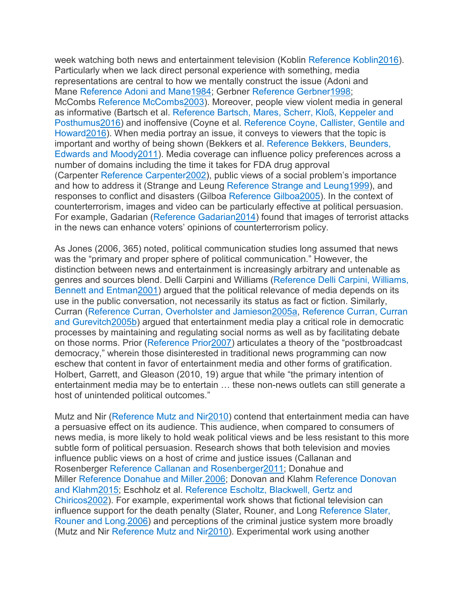week watching both news and entertainment television (Koblin Reference [Koblin2016\)](https://www.cambridge.org/core/journals/perspectives-on-politics/article/wait-theres-torture-in-zootopia-examining-the-prevalence-of-torture-in-popular-movies/4C630F7B231053B66DC436EF598F2E32#ref50). Particularly when we lack direct personal experience with something, media representations are central to how we mentally construct the issue (Adoni and Mane Reference Adoni and [Mane1984;](https://www.cambridge.org/core/journals/perspectives-on-politics/article/wait-theres-torture-in-zootopia-examining-the-prevalence-of-torture-in-popular-movies/4C630F7B231053B66DC436EF598F2E32#ref1) Gerbner Reference [Gerbner1998;](https://www.cambridge.org/core/journals/perspectives-on-politics/article/wait-theres-torture-in-zootopia-examining-the-prevalence-of-torture-in-popular-movies/4C630F7B231053B66DC436EF598F2E32#ref36) McCombs Reference [McCombs2003\)](https://www.cambridge.org/core/journals/perspectives-on-politics/article/wait-theres-torture-in-zootopia-examining-the-prevalence-of-torture-in-popular-movies/4C630F7B231053B66DC436EF598F2E32#ref54). Moreover, people view violent media in general as informative (Bartsch et al. [Reference](https://www.cambridge.org/core/journals/perspectives-on-politics/article/wait-theres-torture-in-zootopia-examining-the-prevalence-of-torture-in-popular-movies/4C630F7B231053B66DC436EF598F2E32#ref5) Bartsch, Mares, Scherr, Kloß, Keppeler and [Posthumus2016\)](https://www.cambridge.org/core/journals/perspectives-on-politics/article/wait-theres-torture-in-zootopia-examining-the-prevalence-of-torture-in-popular-movies/4C630F7B231053B66DC436EF598F2E32#ref5) and inoffensive (Coyne et al. [Reference](https://www.cambridge.org/core/journals/perspectives-on-politics/article/wait-theres-torture-in-zootopia-examining-the-prevalence-of-torture-in-popular-movies/4C630F7B231053B66DC436EF598F2E32#ref22) Coyne, Callister, Gentile and [Howard2016\)](https://www.cambridge.org/core/journals/perspectives-on-politics/article/wait-theres-torture-in-zootopia-examining-the-prevalence-of-torture-in-popular-movies/4C630F7B231053B66DC436EF598F2E32#ref22). When media portray an issue, it conveys to viewers that the topic is important and worthy of being shown (Bekkers et al. [Reference Bekkers, Beunders,](https://www.cambridge.org/core/journals/perspectives-on-politics/article/wait-theres-torture-in-zootopia-examining-the-prevalence-of-torture-in-popular-movies/4C630F7B231053B66DC436EF598F2E32#ref6) Edwards and [Moody2011\)](https://www.cambridge.org/core/journals/perspectives-on-politics/article/wait-theres-torture-in-zootopia-examining-the-prevalence-of-torture-in-popular-movies/4C630F7B231053B66DC436EF598F2E32#ref6). Media coverage can influence policy preferences across a number of domains including the time it takes for FDA drug approval (Carpenter Reference [Carpenter2002\)](https://www.cambridge.org/core/journals/perspectives-on-politics/article/wait-theres-torture-in-zootopia-examining-the-prevalence-of-torture-in-popular-movies/4C630F7B231053B66DC436EF598F2E32#ref16), public views of a social problem's importance and how to address it (Strange and Leung Reference Strange and [Leung1999\)](https://www.cambridge.org/core/journals/perspectives-on-politics/article/wait-theres-torture-in-zootopia-examining-the-prevalence-of-torture-in-popular-movies/4C630F7B231053B66DC436EF598F2E32#ref72), and responses to conflict and disasters (Gilboa Reference [Gilboa2005\)](https://www.cambridge.org/core/journals/perspectives-on-politics/article/wait-theres-torture-in-zootopia-examining-the-prevalence-of-torture-in-popular-movies/4C630F7B231053B66DC436EF598F2E32#ref37). In the context of counterterrorism, images and video can be particularly effective at political persuasion. For example, Gadarian (Reference [Gadarian2014\)](https://www.cambridge.org/core/journals/perspectives-on-politics/article/wait-theres-torture-in-zootopia-examining-the-prevalence-of-torture-in-popular-movies/4C630F7B231053B66DC436EF598F2E32#ref35) found that images of terrorist attacks in the news can enhance voters' opinions of counterterrorism policy.

As Jones (2006, 365) noted, political communication studies long assumed that news was the "primary and proper sphere of political communication." However, the distinction between news and entertainment is increasingly arbitrary and untenable as genres and sources blend. Delli Carpini and Williams [\(Reference](https://www.cambridge.org/core/journals/perspectives-on-politics/article/wait-theres-torture-in-zootopia-examining-the-prevalence-of-torture-in-popular-movies/4C630F7B231053B66DC436EF598F2E32#ref28) Delli Carpini, Williams, Bennett and [Entman2001\)](https://www.cambridge.org/core/journals/perspectives-on-politics/article/wait-theres-torture-in-zootopia-examining-the-prevalence-of-torture-in-popular-movies/4C630F7B231053B66DC436EF598F2E32#ref28) argued that the political relevance of media depends on its use in the public conversation, not necessarily its status as fact or fiction. Similarly, Curran (Reference Curran, Overholster and [Jamieson2005a,](https://www.cambridge.org/core/journals/perspectives-on-politics/article/wait-theres-torture-in-zootopia-examining-the-prevalence-of-torture-in-popular-movies/4C630F7B231053B66DC436EF598F2E32#ref23) [Reference](https://www.cambridge.org/core/journals/perspectives-on-politics/article/wait-theres-torture-in-zootopia-examining-the-prevalence-of-torture-in-popular-movies/4C630F7B231053B66DC436EF598F2E32#ref24) Curran, Curran and [Gurevitch2005b\)](https://www.cambridge.org/core/journals/perspectives-on-politics/article/wait-theres-torture-in-zootopia-examining-the-prevalence-of-torture-in-popular-movies/4C630F7B231053B66DC436EF598F2E32#ref24) argued that entertainment media play a critical role in democratic processes by maintaining and regulating social norms as well as by facilitating debate on those norms. Prior [\(Reference](https://www.cambridge.org/core/journals/perspectives-on-politics/article/wait-theres-torture-in-zootopia-examining-the-prevalence-of-torture-in-popular-movies/4C630F7B231053B66DC436EF598F2E32#ref66) Prior2007) articulates a theory of the "postbroadcast democracy," wherein those disinterested in traditional news programming can now eschew that content in favor of entertainment media and other forms of gratification. Holbert, Garrett, and Gleason (2010, 19) argue that while "the primary intention of entertainment media may be to entertain … these non-news outlets can still generate a host of unintended political outcomes."

Mutz and Nir [\(Reference](https://www.cambridge.org/core/journals/perspectives-on-politics/article/wait-theres-torture-in-zootopia-examining-the-prevalence-of-torture-in-popular-movies/4C630F7B231053B66DC436EF598F2E32#ref58) Mutz and Nir2010) contend that entertainment media can have a persuasive effect on its audience. This audience, when compared to consumers of news media, is more likely to hold weak political views and be less resistant to this more subtle form of political persuasion. Research shows that both television and movies influence public views on a host of crime and justice issues (Callanan and Rosenberger Reference Callanan and [Rosenberger2011;](https://www.cambridge.org/core/journals/perspectives-on-politics/article/wait-theres-torture-in-zootopia-examining-the-prevalence-of-torture-in-popular-movies/4C630F7B231053B66DC436EF598F2E32#ref15) Donahue and Miller Reference Donahue and [Miller.2006;](https://www.cambridge.org/core/journals/perspectives-on-politics/article/wait-theres-torture-in-zootopia-examining-the-prevalence-of-torture-in-popular-movies/4C630F7B231053B66DC436EF598F2E32#ref29) Donovan and Klahm [Reference](https://www.cambridge.org/core/journals/perspectives-on-politics/article/wait-theres-torture-in-zootopia-examining-the-prevalence-of-torture-in-popular-movies/4C630F7B231053B66DC436EF598F2E32#ref30) Donovan and [Klahm2015;](https://www.cambridge.org/core/journals/perspectives-on-politics/article/wait-theres-torture-in-zootopia-examining-the-prevalence-of-torture-in-popular-movies/4C630F7B231053B66DC436EF598F2E32#ref30) Eschholz et al. [Reference Escholtz, Blackwell,](https://www.cambridge.org/core/journals/perspectives-on-politics/article/wait-theres-torture-in-zootopia-examining-the-prevalence-of-torture-in-popular-movies/4C630F7B231053B66DC436EF598F2E32#ref31) Gertz and [Chiricos2002\)](https://www.cambridge.org/core/journals/perspectives-on-politics/article/wait-theres-torture-in-zootopia-examining-the-prevalence-of-torture-in-popular-movies/4C630F7B231053B66DC436EF598F2E32#ref31). For example, experimental work shows that fictional television can influence support for the death penalty (Slater, Rouner, and Long [Reference](https://www.cambridge.org/core/journals/perspectives-on-politics/article/wait-theres-torture-in-zootopia-examining-the-prevalence-of-torture-in-popular-movies/4C630F7B231053B66DC436EF598F2E32#ref69) Slater, Rouner and [Long.2006\)](https://www.cambridge.org/core/journals/perspectives-on-politics/article/wait-theres-torture-in-zootopia-examining-the-prevalence-of-torture-in-popular-movies/4C630F7B231053B66DC436EF598F2E32#ref69) and perceptions of the criminal justice system more broadly (Mutz and Nir [Reference](https://www.cambridge.org/core/journals/perspectives-on-politics/article/wait-theres-torture-in-zootopia-examining-the-prevalence-of-torture-in-popular-movies/4C630F7B231053B66DC436EF598F2E32#ref58) Mutz and Nir2010). Experimental work using another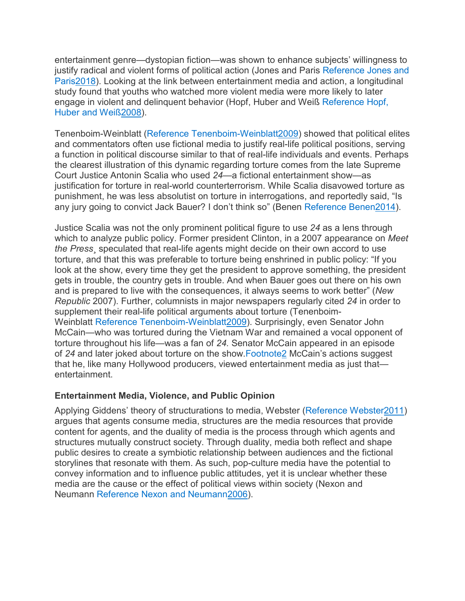entertainment genre—dystopian fiction—was shown to enhance subjects' willingness to justify radical and violent forms of political action (Jones and Paris [Reference](https://www.cambridge.org/core/journals/perspectives-on-politics/article/wait-theres-torture-in-zootopia-examining-the-prevalence-of-torture-in-popular-movies/4C630F7B231053B66DC436EF598F2E32#ref45) Jones and [Paris2018\)](https://www.cambridge.org/core/journals/perspectives-on-politics/article/wait-theres-torture-in-zootopia-examining-the-prevalence-of-torture-in-popular-movies/4C630F7B231053B66DC436EF598F2E32#ref45). Looking at the link between entertainment media and action, a longitudinal study found that youths who watched more violent media were more likely to later engage in violent and delinquent behavior (Hopf, Huber and Weiß [Reference](https://www.cambridge.org/core/journals/perspectives-on-politics/article/wait-theres-torture-in-zootopia-examining-the-prevalence-of-torture-in-popular-movies/4C630F7B231053B66DC436EF598F2E32#ref42) Hopf, Huber and [Weiß2008\)](https://www.cambridge.org/core/journals/perspectives-on-politics/article/wait-theres-torture-in-zootopia-examining-the-prevalence-of-torture-in-popular-movies/4C630F7B231053B66DC436EF598F2E32#ref42).

Tenenboim-Weinblatt (Reference [Tenenboim-Weinblatt2009\)](https://www.cambridge.org/core/journals/perspectives-on-politics/article/wait-theres-torture-in-zootopia-examining-the-prevalence-of-torture-in-popular-movies/4C630F7B231053B66DC436EF598F2E32#ref75) showed that political elites and commentators often use fictional media to justify real-life political positions, serving a function in political discourse similar to that of real-life individuals and events. Perhaps the clearest illustration of this dynamic regarding torture comes from the late Supreme Court Justice Antonin Scalia who used *24—*a fictional entertainment show—as justification for torture in real-world counterterrorism. While Scalia disavowed torture as punishment, he was less absolutist on torture in interrogations, and reportedly said, "Is any jury going to convict Jack Bauer? I don't think so" (Benen Reference [Benen2014\)](https://www.cambridge.org/core/journals/perspectives-on-politics/article/wait-theres-torture-in-zootopia-examining-the-prevalence-of-torture-in-popular-movies/4C630F7B231053B66DC436EF598F2E32#ref8).

Justice Scalia was not the only prominent political figure to use *24* as a lens through which to analyze public policy. Former president Clinton, in a 2007 appearance on *Meet the Press*¸ speculated that real-life agents might decide on their own accord to use torture, and that this was preferable to torture being enshrined in public policy: "If you look at the show, every time they get the president to approve something, the president gets in trouble, the country gets in trouble. And when Bauer goes out there on his own and is prepared to live with the consequences, it always seems to work better" (*New Republic* 2007). Further, columnists in major newspapers regularly cited *24* in order to supplement their real-life political arguments about torture (Tenenboim-Weinblatt Reference [Tenenboim-Weinblatt2009\)](https://www.cambridge.org/core/journals/perspectives-on-politics/article/wait-theres-torture-in-zootopia-examining-the-prevalence-of-torture-in-popular-movies/4C630F7B231053B66DC436EF598F2E32#ref75). Surprisingly, even Senator John McCain—who was tortured during the Vietnam War and remained a vocal opponent of torture throughout his life—was a fan of *24.* Senator McCain appeared in an episode of *24* and later joked about torture on the show[.Footnote2](https://www.cambridge.org/core/journals/perspectives-on-politics/article/wait-theres-torture-in-zootopia-examining-the-prevalence-of-torture-in-popular-movies/4C630F7B231053B66DC436EF598F2E32#fn2) McCain's actions suggest that he, like many Hollywood producers, viewed entertainment media as just that entertainment.

#### **Entertainment Media, Violence, and Public Opinion**

Applying Giddens' theory of structurations to media, Webster (Reference [Webster2011\)](https://www.cambridge.org/core/journals/perspectives-on-politics/article/wait-theres-torture-in-zootopia-examining-the-prevalence-of-torture-in-popular-movies/4C630F7B231053B66DC436EF598F2E32#ref80) argues that agents consume media, structures are the media resources that provide content for agents, and the duality of media is the process through which agents and structures mutually construct society. Through duality, media both reflect and shape public desires to create a symbiotic relationship between audiences and the fictional storylines that resonate with them. As such, pop-culture media have the potential to convey information and to influence public attitudes, yet it is unclear whether these media are the cause or the effect of political views within society (Nexon and Neumann Reference Nexon and [Neumann2006\)](https://www.cambridge.org/core/journals/perspectives-on-politics/article/wait-theres-torture-in-zootopia-examining-the-prevalence-of-torture-in-popular-movies/4C630F7B231053B66DC436EF598F2E32#ref59).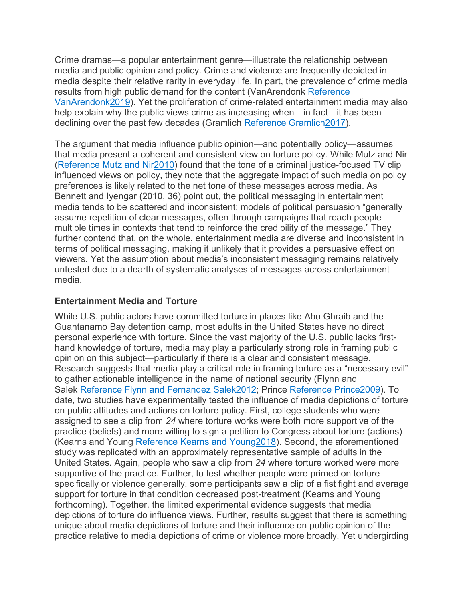Crime dramas—a popular entertainment genre—illustrate the relationship between media and public opinion and policy. Crime and violence are frequently depicted in media despite their relative rarity in everyday life. In part, the prevalence of crime media results from high public demand for the content (VanArendonk [Reference](https://www.cambridge.org/core/journals/perspectives-on-politics/article/wait-theres-torture-in-zootopia-examining-the-prevalence-of-torture-in-popular-movies/4C630F7B231053B66DC436EF598F2E32#ref78) [VanArendonk2019\)](https://www.cambridge.org/core/journals/perspectives-on-politics/article/wait-theres-torture-in-zootopia-examining-the-prevalence-of-torture-in-popular-movies/4C630F7B231053B66DC436EF598F2E32#ref78). Yet the proliferation of crime-related entertainment media may also help explain why the public views crime as increasing when—in fact—it has been declining over the past few decades (Gramlich Reference [Gramlich2017\)](https://www.cambridge.org/core/journals/perspectives-on-politics/article/wait-theres-torture-in-zootopia-examining-the-prevalence-of-torture-in-popular-movies/4C630F7B231053B66DC436EF598F2E32#ref39).

The argument that media influence public opinion—and potentially policy—assumes that media present a coherent and consistent view on torture policy. While Mutz and Nir [\(Reference](https://www.cambridge.org/core/journals/perspectives-on-politics/article/wait-theres-torture-in-zootopia-examining-the-prevalence-of-torture-in-popular-movies/4C630F7B231053B66DC436EF598F2E32#ref58) Mutz and Nir2010) found that the tone of a criminal justice-focused TV clip influenced views on policy, they note that the aggregate impact of such media on policy preferences is likely related to the net tone of these messages across media. As Bennett and Iyengar (2010, 36) point out, the political messaging in entertainment media tends to be scattered and inconsistent: models of political persuasion "generally assume repetition of clear messages, often through campaigns that reach people multiple times in contexts that tend to reinforce the credibility of the message." They further contend that, on the whole, entertainment media are diverse and inconsistent in terms of political messaging, making it unlikely that it provides a persuasive effect on viewers. Yet the assumption about media's inconsistent messaging remains relatively untested due to a dearth of systematic analyses of messages across entertainment media.

#### **Entertainment Media and Torture**

While U.S. public actors have committed torture in places like Abu Ghraib and the Guantanamo Bay detention camp, most adults in the United States have no direct personal experience with torture. Since the vast majority of the U.S. public lacks firsthand knowledge of torture, media may play a particularly strong role in framing public opinion on this subject—particularly if there is a clear and consistent message. Research suggests that media play a critical role in framing torture as a "necessary evil" to gather actionable intelligence in the name of national security (Flynn and Salek Reference Flynn and Fernandez [Salek2012;](https://www.cambridge.org/core/journals/perspectives-on-politics/article/wait-theres-torture-in-zootopia-examining-the-prevalence-of-torture-in-popular-movies/4C630F7B231053B66DC436EF598F2E32#ref34) Prince Reference [Prince2009\)](https://www.cambridge.org/core/journals/perspectives-on-politics/article/wait-theres-torture-in-zootopia-examining-the-prevalence-of-torture-in-popular-movies/4C630F7B231053B66DC436EF598F2E32#ref65). To date, two studies have experimentally tested the influence of media depictions of torture on public attitudes and actions on torture policy. First, college students who were assigned to see a clip from *24* where torture works were both more supportive of the practice (beliefs) and more willing to sign a petition to Congress about torture (actions) (Kearns and Young Reference Kearns and [Young2018\)](https://www.cambridge.org/core/journals/perspectives-on-politics/article/wait-theres-torture-in-zootopia-examining-the-prevalence-of-torture-in-popular-movies/4C630F7B231053B66DC436EF598F2E32#ref46). Second, the aforementioned study was replicated with an approximately representative sample of adults in the United States. Again, people who saw a clip from *24* where torture worked were more supportive of the practice. Further, to test whether people were primed on torture specifically or violence generally, some participants saw a clip of a fist fight and average support for torture in that condition decreased post-treatment (Kearns and Young forthcoming). Together, the limited experimental evidence suggests that media depictions of torture do influence views. Further, results suggest that there is something unique about media depictions of torture and their influence on public opinion of the practice relative to media depictions of crime or violence more broadly. Yet undergirding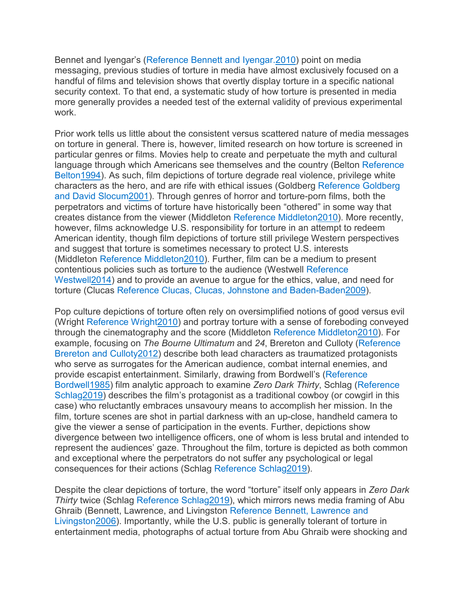Bennet and Iyengar's (Reference Bennett and [Iyengar.2010\)](https://www.cambridge.org/core/journals/perspectives-on-politics/article/wait-theres-torture-in-zootopia-examining-the-prevalence-of-torture-in-popular-movies/4C630F7B231053B66DC436EF598F2E32#ref9) point on media messaging, previous studies of torture in media have almost exclusively focused on a handful of films and television shows that overtly display torture in a specific national security context. To that end, a systematic study of how torture is presented in media more generally provides a needed test of the external validity of previous experimental work.

Prior work tells us little about the consistent versus scattered nature of media messages on torture in general. There is, however, limited research on how torture is screened in particular genres or films. Movies help to create and perpetuate the myth and cultural language through which Americans see themselves and the country (Belton [Reference](https://www.cambridge.org/core/journals/perspectives-on-politics/article/wait-theres-torture-in-zootopia-examining-the-prevalence-of-torture-in-popular-movies/4C630F7B231053B66DC436EF598F2E32#ref7) [Belton1994\)](https://www.cambridge.org/core/journals/perspectives-on-politics/article/wait-theres-torture-in-zootopia-examining-the-prevalence-of-torture-in-popular-movies/4C630F7B231053B66DC436EF598F2E32#ref7). As such, film depictions of torture degrade real violence, privilege white characters as the hero, and are rife with ethical issues (Goldberg [Reference](https://www.cambridge.org/core/journals/perspectives-on-politics/article/wait-theres-torture-in-zootopia-examining-the-prevalence-of-torture-in-popular-movies/4C630F7B231053B66DC436EF598F2E32#ref38) Goldberg and David [Slocum2001\)](https://www.cambridge.org/core/journals/perspectives-on-politics/article/wait-theres-torture-in-zootopia-examining-the-prevalence-of-torture-in-popular-movies/4C630F7B231053B66DC436EF598F2E32#ref38). Through genres of horror and torture-porn films, both the perpetrators and victims of torture have historically been "othered" in some way that creates distance from the viewer (Middleton Reference [Middleton2010\)](https://www.cambridge.org/core/journals/perspectives-on-politics/article/wait-theres-torture-in-zootopia-examining-the-prevalence-of-torture-in-popular-movies/4C630F7B231053B66DC436EF598F2E32#ref55). More recently, however, films acknowledge U.S. responsibility for torture in an attempt to redeem American identity, though film depictions of torture still privilege Western perspectives and suggest that torture is sometimes necessary to protect U.S. interests (Middleton Reference [Middleton2010\)](https://www.cambridge.org/core/journals/perspectives-on-politics/article/wait-theres-torture-in-zootopia-examining-the-prevalence-of-torture-in-popular-movies/4C630F7B231053B66DC436EF598F2E32#ref55). Further, film can be a medium to present contentious policies such as torture to the audience (Westwell [Reference](https://www.cambridge.org/core/journals/perspectives-on-politics/article/wait-theres-torture-in-zootopia-examining-the-prevalence-of-torture-in-popular-movies/4C630F7B231053B66DC436EF598F2E32#ref81) [Westwell2014\)](https://www.cambridge.org/core/journals/perspectives-on-politics/article/wait-theres-torture-in-zootopia-examining-the-prevalence-of-torture-in-popular-movies/4C630F7B231053B66DC436EF598F2E32#ref81) and to provide an avenue to argue for the ethics, value, and need for torture (Clucas Reference Clucas, Clucas, Johnstone and [Baden-Baden2009\)](https://www.cambridge.org/core/journals/perspectives-on-politics/article/wait-theres-torture-in-zootopia-examining-the-prevalence-of-torture-in-popular-movies/4C630F7B231053B66DC436EF598F2E32#ref19).

Pop culture depictions of torture often rely on oversimplified notions of good versus evil (Wright Reference [Wright2010\)](https://www.cambridge.org/core/journals/perspectives-on-politics/article/wait-theres-torture-in-zootopia-examining-the-prevalence-of-torture-in-popular-movies/4C630F7B231053B66DC436EF598F2E32#ref79) and portray torture with a sense of foreboding conveyed through the cinematography and the score (Middleton Reference [Middleton2010\)](https://www.cambridge.org/core/journals/perspectives-on-politics/article/wait-theres-torture-in-zootopia-examining-the-prevalence-of-torture-in-popular-movies/4C630F7B231053B66DC436EF598F2E32#ref55). For example, focusing on *The Bourne Ultimatum* and *24*, Brereton and Culloty [\(Reference](https://www.cambridge.org/core/journals/perspectives-on-politics/article/wait-theres-torture-in-zootopia-examining-the-prevalence-of-torture-in-popular-movies/4C630F7B231053B66DC436EF598F2E32#ref13) Brereton and [Culloty2012\)](https://www.cambridge.org/core/journals/perspectives-on-politics/article/wait-theres-torture-in-zootopia-examining-the-prevalence-of-torture-in-popular-movies/4C630F7B231053B66DC436EF598F2E32#ref13) describe both lead characters as traumatized protagonists who serve as surrogates for the American audience, combat internal enemies, and provide escapist entertainment. Similarly, drawing from Bordwell's [\(Reference](https://www.cambridge.org/core/journals/perspectives-on-politics/article/wait-theres-torture-in-zootopia-examining-the-prevalence-of-torture-in-popular-movies/4C630F7B231053B66DC436EF598F2E32#ref11) [Bordwell1985\)](https://www.cambridge.org/core/journals/perspectives-on-politics/article/wait-theres-torture-in-zootopia-examining-the-prevalence-of-torture-in-popular-movies/4C630F7B231053B66DC436EF598F2E32#ref11) film analytic approach to examine *Zero Dark Thirty*, Schlag [\(Reference](https://www.cambridge.org/core/journals/perspectives-on-politics/article/wait-theres-torture-in-zootopia-examining-the-prevalence-of-torture-in-popular-movies/4C630F7B231053B66DC436EF598F2E32#ref67) [Schlag2019\)](https://www.cambridge.org/core/journals/perspectives-on-politics/article/wait-theres-torture-in-zootopia-examining-the-prevalence-of-torture-in-popular-movies/4C630F7B231053B66DC436EF598F2E32#ref67) describes the film's protagonist as a traditional cowboy (or cowgirl in this case) who reluctantly embraces unsavoury means to accomplish her mission. In the film, torture scenes are shot in partial darkness with an up-close, handheld camera to give the viewer a sense of participation in the events. Further, depictions show divergence between two intelligence officers, one of whom is less brutal and intended to represent the audiences' gaze. Throughout the film, torture is depicted as both common and exceptional where the perpetrators do not suffer any psychological or legal consequences for their actions (Schlag Reference [Schlag2019\)](https://www.cambridge.org/core/journals/perspectives-on-politics/article/wait-theres-torture-in-zootopia-examining-the-prevalence-of-torture-in-popular-movies/4C630F7B231053B66DC436EF598F2E32#ref67).

Despite the clear depictions of torture, the word "torture" itself only appears in *Zero Dark Thirty* twice (Schlag Reference [Schlag2019\)](https://www.cambridge.org/core/journals/perspectives-on-politics/article/wait-theres-torture-in-zootopia-examining-the-prevalence-of-torture-in-popular-movies/4C630F7B231053B66DC436EF598F2E32#ref67), which mirrors news media framing of Abu Ghraib (Bennett, Lawrence, and Livingston [Reference](https://www.cambridge.org/core/journals/perspectives-on-politics/article/wait-theres-torture-in-zootopia-examining-the-prevalence-of-torture-in-popular-movies/4C630F7B231053B66DC436EF598F2E32#ref10) Bennett, Lawrence and [Livingston2006\)](https://www.cambridge.org/core/journals/perspectives-on-politics/article/wait-theres-torture-in-zootopia-examining-the-prevalence-of-torture-in-popular-movies/4C630F7B231053B66DC436EF598F2E32#ref10). Importantly, while the U.S. public is generally tolerant of torture in entertainment media, photographs of actual torture from Abu Ghraib were shocking and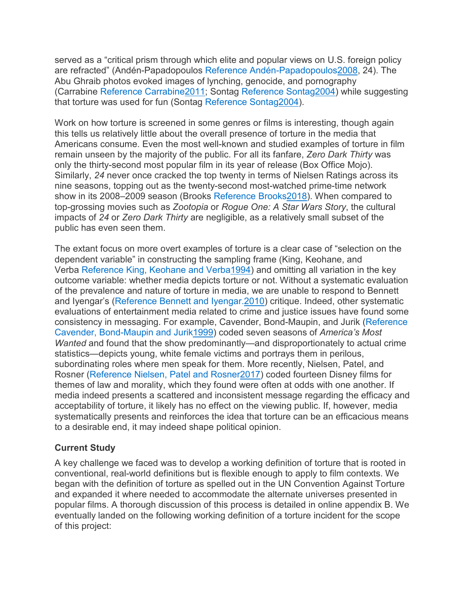served as a "critical prism through which elite and popular views on U.S. foreign policy are refracted" (Andén-Papadopoulos Reference [Andén-Papadopoulos2008,](https://www.cambridge.org/core/journals/perspectives-on-politics/article/wait-theres-torture-in-zootopia-examining-the-prevalence-of-torture-in-popular-movies/4C630F7B231053B66DC436EF598F2E32#ref3) 24). The Abu Ghraib photos evoked images of lynching, genocide, and pornography (Carrabine Reference [Carrabine2011;](https://www.cambridge.org/core/journals/perspectives-on-politics/article/wait-theres-torture-in-zootopia-examining-the-prevalence-of-torture-in-popular-movies/4C630F7B231053B66DC436EF598F2E32#ref17) Sontag Reference [Sontag2004\)](https://www.cambridge.org/core/journals/perspectives-on-politics/article/wait-theres-torture-in-zootopia-examining-the-prevalence-of-torture-in-popular-movies/4C630F7B231053B66DC436EF598F2E32#ref71) while suggesting that torture was used for fun (Sontag Reference [Sontag2004\)](https://www.cambridge.org/core/journals/perspectives-on-politics/article/wait-theres-torture-in-zootopia-examining-the-prevalence-of-torture-in-popular-movies/4C630F7B231053B66DC436EF598F2E32#ref71).

Work on how torture is screened in some genres or films is interesting, though again this tells us relatively little about the overall presence of torture in the media that Americans consume. Even the most well-known and studied examples of torture in film remain unseen by the majority of the public. For all its fanfare, *Zero Dark Thirty* was only the thirty-second most popular film in its year of release (Box Office Mojo). Similarly, *24* never once cracked the top twenty in terms of Nielsen Ratings across its nine seasons, topping out as the twenty-second most-watched prime-time network show in its 2008–2009 season (Brooks Reference [Brooks2018\)](https://www.cambridge.org/core/journals/perspectives-on-politics/article/wait-theres-torture-in-zootopia-examining-the-prevalence-of-torture-in-popular-movies/4C630F7B231053B66DC436EF598F2E32#ref14). When compared to top-grossing movies such as *Zootopia* or *Rogue One: A Star Wars Story*, the cultural impacts of *24* or *Zero Dark Thirty* are negligible, as a relatively small subset of the public has even seen them.

The extant focus on more overt examples of torture is a clear case of "selection on the dependent variable" in constructing the sampling frame (King, Keohane, and Verba Reference King, Keohane and [Verba1994\)](https://www.cambridge.org/core/journals/perspectives-on-politics/article/wait-theres-torture-in-zootopia-examining-the-prevalence-of-torture-in-popular-movies/4C630F7B231053B66DC436EF598F2E32#ref48) and omitting all variation in the key outcome variable: whether media depicts torture or not. Without a systematic evaluation of the prevalence and nature of torture in media, we are unable to respond to Bennett and Iyengar's (Reference Bennett and [Iyengar.2010\)](https://www.cambridge.org/core/journals/perspectives-on-politics/article/wait-theres-torture-in-zootopia-examining-the-prevalence-of-torture-in-popular-movies/4C630F7B231053B66DC436EF598F2E32#ref9) critique. Indeed, other systematic evaluations of entertainment media related to crime and justice issues have found some consistency in messaging. For example, Cavender, Bond-Maupin, and Jurik [\(Reference](https://www.cambridge.org/core/journals/perspectives-on-politics/article/wait-theres-torture-in-zootopia-examining-the-prevalence-of-torture-in-popular-movies/4C630F7B231053B66DC436EF598F2E32#ref18) Cavender, [Bond-Maupin](https://www.cambridge.org/core/journals/perspectives-on-politics/article/wait-theres-torture-in-zootopia-examining-the-prevalence-of-torture-in-popular-movies/4C630F7B231053B66DC436EF598F2E32#ref18) and Jurik1999) coded seven seasons of *America's Most Wanted* and found that the show predominantly—and disproportionately to actual crime statistics—depicts young, white female victims and portrays them in perilous, subordinating roles where men speak for them. More recently, Nielsen, Patel, and Rosner (Reference Nielsen, Patel and [Rosner2017\)](https://www.cambridge.org/core/journals/perspectives-on-politics/article/wait-theres-torture-in-zootopia-examining-the-prevalence-of-torture-in-popular-movies/4C630F7B231053B66DC436EF598F2E32#ref61) coded fourteen Disney films for themes of law and morality, which they found were often at odds with one another. If media indeed presents a scattered and inconsistent message regarding the efficacy and acceptability of torture, it likely has no effect on the viewing public. If, however, media systematically presents and reinforces the idea that torture can be an efficacious means to a desirable end, it may indeed shape political opinion.

#### **Current Study**

A key challenge we faced was to develop a working definition of torture that is rooted in conventional, real-world definitions but is flexible enough to apply to film contexts. We began with the definition of torture as spelled out in the UN Convention Against Torture and expanded it where needed to accommodate the alternate universes presented in popular films. A thorough discussion of this process is detailed in online appendix B. We eventually landed on the following working definition of a torture incident for the scope of this project: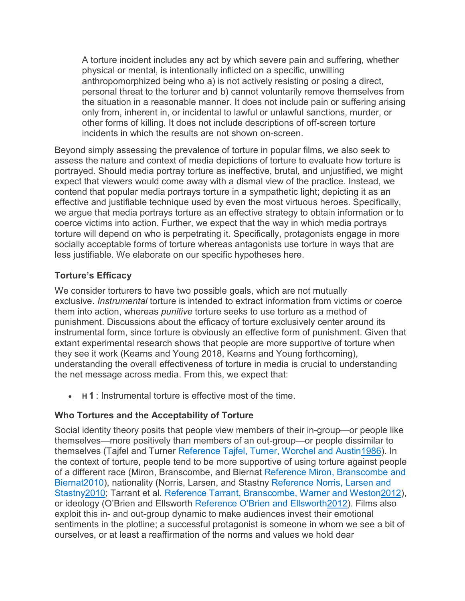A torture incident includes any act by which severe pain and suffering, whether physical or mental, is intentionally inflicted on a specific, unwilling anthropomorphized being who a) is not actively resisting or posing a direct, personal threat to the torturer and b) cannot voluntarily remove themselves from the situation in a reasonable manner. It does not include pain or suffering arising only from, inherent in, or incidental to lawful or unlawful sanctions, murder, or other forms of killing. It does not include descriptions of off-screen torture incidents in which the results are not shown on-screen.

Beyond simply assessing the prevalence of torture in popular films, we also seek to assess the nature and context of media depictions of torture to evaluate how torture is portrayed. Should media portray torture as ineffective, brutal, and unjustified, we might expect that viewers would come away with a dismal view of the practice. Instead, we contend that popular media portrays torture in a sympathetic light; depicting it as an effective and justifiable technique used by even the most virtuous heroes. Specifically, we argue that media portrays torture as an effective strategy to obtain information or to coerce victims into action. Further, we expect that the way in which media portrays torture will depend on who is perpetrating it. Specifically, protagonists engage in more socially acceptable forms of torture whereas antagonists use torture in ways that are less justifiable. We elaborate on our specific hypotheses here.

#### **Torture's Efficacy**

We consider torturers to have two possible goals, which are not mutually exclusive. *Instrumental* torture is intended to extract information from victims or coerce them into action, whereas *punitive* torture seeks to use torture as a method of punishment. Discussions about the efficacy of torture exclusively center around its instrumental form, since torture is obviously an effective form of punishment. Given that extant experimental research shows that people are more supportive of torture when they see it work (Kearns and Young 2018, Kearns and Young forthcoming), understanding the overall effectiveness of torture in media is crucial to understanding the net message across media. From this, we expect that:

• **H 1** : Instrumental torture is effective most of the time.

#### **Who Tortures and the Acceptability of Torture**

Social identity theory posits that people view members of their in-group—or people like themselves—more positively than members of an out-group—or people dissimilar to themselves (Tajfel and Turner Reference Tajfel, Turner, Worchel and [Austin1986\)](https://www.cambridge.org/core/journals/perspectives-on-politics/article/wait-theres-torture-in-zootopia-examining-the-prevalence-of-torture-in-popular-movies/4C630F7B231053B66DC436EF598F2E32#ref73). In the context of torture, people tend to be more supportive of using torture against people of a different race (Miron, Branscombe, and Biernat Reference Miron, [Branscombe](https://www.cambridge.org/core/journals/perspectives-on-politics/article/wait-theres-torture-in-zootopia-examining-the-prevalence-of-torture-in-popular-movies/4C630F7B231053B66DC436EF598F2E32#ref56) and [Biernat2010\)](https://www.cambridge.org/core/journals/perspectives-on-politics/article/wait-theres-torture-in-zootopia-examining-the-prevalence-of-torture-in-popular-movies/4C630F7B231053B66DC436EF598F2E32#ref56), nationality (Norris, Larsen, and Stastny [Reference](https://www.cambridge.org/core/journals/perspectives-on-politics/article/wait-theres-torture-in-zootopia-examining-the-prevalence-of-torture-in-popular-movies/4C630F7B231053B66DC436EF598F2E32#ref62) Norris, Larsen and [Stastny2010;](https://www.cambridge.org/core/journals/perspectives-on-politics/article/wait-theres-torture-in-zootopia-examining-the-prevalence-of-torture-in-popular-movies/4C630F7B231053B66DC436EF598F2E32#ref62) Tarrant et al. Reference Tarrant, [Branscombe,](https://www.cambridge.org/core/journals/perspectives-on-politics/article/wait-theres-torture-in-zootopia-examining-the-prevalence-of-torture-in-popular-movies/4C630F7B231053B66DC436EF598F2E32#ref74) Warner and Weston2012), or ideology (O'Brien and Ellsworth Reference O'Brien and [Ellsworth2012\)](https://www.cambridge.org/core/journals/perspectives-on-politics/article/wait-theres-torture-in-zootopia-examining-the-prevalence-of-torture-in-popular-movies/4C630F7B231053B66DC436EF598F2E32#ref63). Films also exploit this in- and out-group dynamic to make audiences invest their emotional sentiments in the plotline; a successful protagonist is someone in whom we see a bit of ourselves, or at least a reaffirmation of the norms and values we hold dear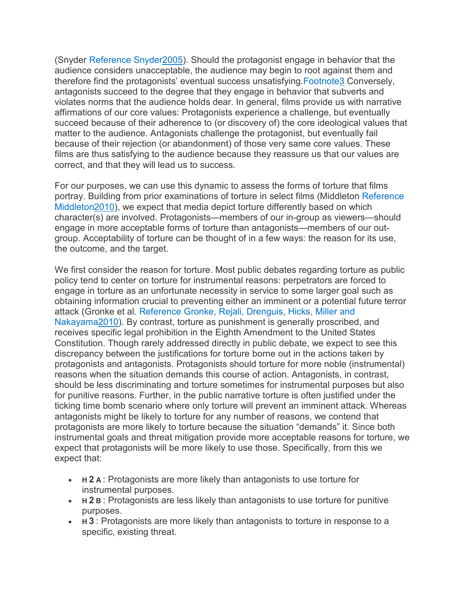(Snyder Reference [Snyder2005\)](https://www.cambridge.org/core/journals/perspectives-on-politics/article/wait-theres-torture-in-zootopia-examining-the-prevalence-of-torture-in-popular-movies/4C630F7B231053B66DC436EF598F2E32#ref70). Should the protagonist engage in behavior that the audience considers unacceptable, the audience may begin to root against them and therefore find the protagonists' eventual success unsatisfying[.Footnote3](https://www.cambridge.org/core/journals/perspectives-on-politics/article/wait-theres-torture-in-zootopia-examining-the-prevalence-of-torture-in-popular-movies/4C630F7B231053B66DC436EF598F2E32#fn3) Conversely, antagonists succeed to the degree that they engage in behavior that subverts and violates norms that the audience holds dear. In general, films provide us with narrative affirmations of our core values: Protagonists experience a challenge, but eventually succeed because of their adherence to (or discovery of) the core ideological values that matter to the audience. Antagonists challenge the protagonist, but eventually fail because of their rejection (or abandonment) of those very same core values. These films are thus satisfying to the audience because they reassure us that our values are correct, and that they will lead us to success.

For our purposes, we can use this dynamic to assess the forms of torture that films portray. Building from prior examinations of torture in select films (Middleton [Reference](https://www.cambridge.org/core/journals/perspectives-on-politics/article/wait-theres-torture-in-zootopia-examining-the-prevalence-of-torture-in-popular-movies/4C630F7B231053B66DC436EF598F2E32#ref55) [Middleton2010\)](https://www.cambridge.org/core/journals/perspectives-on-politics/article/wait-theres-torture-in-zootopia-examining-the-prevalence-of-torture-in-popular-movies/4C630F7B231053B66DC436EF598F2E32#ref55), we expect that media depict torture differently based on which character(s) are involved. Protagonists—members of our in-group as viewers—should engage in more acceptable forms of torture than antagonists—members of our outgroup. Acceptability of torture can be thought of in a few ways: the reason for its use, the outcome, and the target.

We first consider the reason for torture. Most public debates regarding torture as public policy tend to center on torture for instrumental reasons: perpetrators are forced to engage in torture as an unfortunate necessity in service to some larger goal such as obtaining information crucial to preventing either an imminent or a potential future terror attack (Gronke et al. Reference Gronke, Rejali, [Drenguis, Hicks, Miller](https://www.cambridge.org/core/journals/perspectives-on-politics/article/wait-theres-torture-in-zootopia-examining-the-prevalence-of-torture-in-popular-movies/4C630F7B231053B66DC436EF598F2E32#ref40) and [Nakayama2010\)](https://www.cambridge.org/core/journals/perspectives-on-politics/article/wait-theres-torture-in-zootopia-examining-the-prevalence-of-torture-in-popular-movies/4C630F7B231053B66DC436EF598F2E32#ref40). By contrast, torture as punishment is generally proscribed, and receives specific legal prohibition in the Eighth Amendment to the United States Constitution. Though rarely addressed directly in public debate, we expect to see this discrepancy between the justifications for torture borne out in the actions taken by protagonists and antagonists. Protagonists should torture for more noble (instrumental) reasons when the situation demands this course of action. Antagonists, in contrast, should be less discriminating and torture sometimes for instrumental purposes but also for punitive reasons. Further, in the public narrative torture is often justified under the ticking time bomb scenario where only torture will prevent an imminent attack. Whereas antagonists might be likely to torture for any number of reasons, we contend that protagonists are more likely to torture because the situation "demands" it. Since both instrumental goals and threat mitigation provide more acceptable reasons for torture, we expect that protagonists will be more likely to use those. Specifically, from this we expect that:

- **H 2 A** : Protagonists are more likely than antagonists to use torture for instrumental purposes.
- **H 2 B** : Protagonists are less likely than antagonists to use torture for punitive purposes.
- **H 3** : Protagonists are more likely than antagonists to torture in response to a specific, existing threat.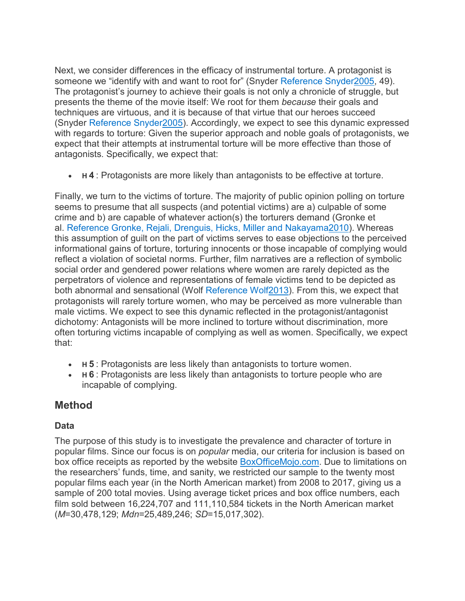Next, we consider differences in the efficacy of instrumental torture. A protagonist is someone we "identify with and want to root for" (Snyder Reference [Snyder2005,](https://www.cambridge.org/core/journals/perspectives-on-politics/article/wait-theres-torture-in-zootopia-examining-the-prevalence-of-torture-in-popular-movies/4C630F7B231053B66DC436EF598F2E32#ref70) 49). The protagonist's journey to achieve their goals is not only a chronicle of struggle, but presents the theme of the movie itself: We root for them *because* their goals and techniques are virtuous, and it is because of that virtue that our heroes succeed (Snyder Reference [Snyder2005\)](https://www.cambridge.org/core/journals/perspectives-on-politics/article/wait-theres-torture-in-zootopia-examining-the-prevalence-of-torture-in-popular-movies/4C630F7B231053B66DC436EF598F2E32#ref70). Accordingly, we expect to see this dynamic expressed with regards to torture: Given the superior approach and noble goals of protagonists, we expect that their attempts at instrumental torture will be more effective than those of antagonists. Specifically, we expect that:

• **H 4** : Protagonists are more likely than antagonists to be effective at torture.

Finally, we turn to the victims of torture. The majority of public opinion polling on torture seems to presume that all suspects (and potential victims) are a) culpable of some crime and b) are capable of whatever action(s) the torturers demand (Gronke et al. Reference Gronke, Rejali, [Drenguis, Hicks, Miller](https://www.cambridge.org/core/journals/perspectives-on-politics/article/wait-theres-torture-in-zootopia-examining-the-prevalence-of-torture-in-popular-movies/4C630F7B231053B66DC436EF598F2E32#ref40) and Nakayama2010). Whereas this assumption of guilt on the part of victims serves to ease objections to the perceived informational gains of torture, torturing innocents or those incapable of complying would reflect a violation of societal norms. Further, film narratives are a reflection of symbolic social order and gendered power relations where women are rarely depicted as the perpetrators of violence and representations of female victims tend to be depicted as both abnormal and sensational (Wolf [Reference](https://www.cambridge.org/core/journals/perspectives-on-politics/article/wait-theres-torture-in-zootopia-examining-the-prevalence-of-torture-in-popular-movies/4C630F7B231053B66DC436EF598F2E32#ref82) Wolf2013). From this, we expect that protagonists will rarely torture women, who may be perceived as more vulnerable than male victims. We expect to see this dynamic reflected in the protagonist/antagonist dichotomy: Antagonists will be more inclined to torture without discrimination, more often torturing victims incapable of complying as well as women. Specifically, we expect that:

- **H 5** : Protagonists are less likely than antagonists to torture women.
- **H 6** : Protagonists are less likely than antagonists to torture people who are incapable of complying.

# **Method**

#### **Data**

The purpose of this study is to investigate the prevalence and character of torture in popular films. Since our focus is on *popular* media, our criteria for inclusion is based on box office receipts as reported by the website [BoxOfficeMojo.com.](http://boxofficemojo.com/) Due to limitations on the researchers' funds, time, and sanity, we restricted our sample to the twenty most popular films each year (in the North American market) from 2008 to 2017, giving us a sample of 200 total movies. Using average ticket prices and box office numbers, each film sold between 16,224,707 and 111,110,584 tickets in the North American market (*M*=30,478,129; *Mdn*=25,489,246; *SD*=15,017,302).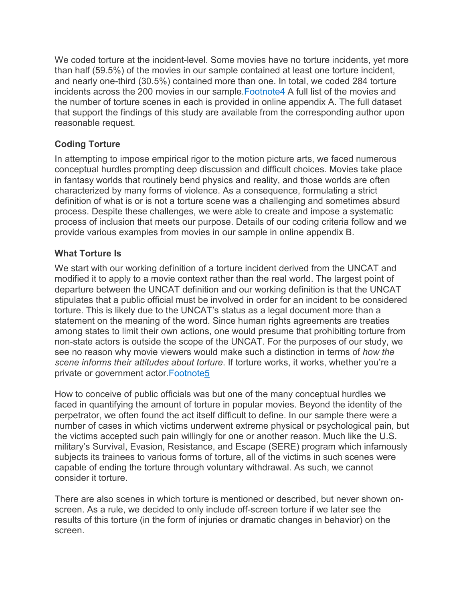We coded torture at the incident-level. Some movies have no torture incidents, yet more than half (59.5%) of the movies in our sample contained at least one torture incident, and nearly one-third (30.5%) contained more than one. In total, we coded 284 torture incidents across the 200 movies in our sample[.Footnote4](https://www.cambridge.org/core/journals/perspectives-on-politics/article/wait-theres-torture-in-zootopia-examining-the-prevalence-of-torture-in-popular-movies/4C630F7B231053B66DC436EF598F2E32#fn4) A full list of the movies and the number of torture scenes in each is provided in online appendix A. The full dataset that support the findings of this study are available from the corresponding author upon reasonable request.

#### **Coding Torture**

In attempting to impose empirical rigor to the motion picture arts, we faced numerous conceptual hurdles prompting deep discussion and difficult choices. Movies take place in fantasy worlds that routinely bend physics and reality, and those worlds are often characterized by many forms of violence. As a consequence, formulating a strict definition of what is or is not a torture scene was a challenging and sometimes absurd process. Despite these challenges, we were able to create and impose a systematic process of inclusion that meets our purpose. Details of our coding criteria follow and we provide various examples from movies in our sample in online appendix B.

#### **What Torture Is**

We start with our working definition of a torture incident derived from the UNCAT and modified it to apply to a movie context rather than the real world. The largest point of departure between the UNCAT definition and our working definition is that the UNCAT stipulates that a public official must be involved in order for an incident to be considered torture. This is likely due to the UNCAT's status as a legal document more than a statement on the meaning of the word. Since human rights agreements are treaties among states to limit their own actions, one would presume that prohibiting torture from non-state actors is outside the scope of the UNCAT. For the purposes of our study, we see no reason why movie viewers would make such a distinction in terms of *how the scene informs their attitudes about torture*. If torture works, it works, whether you're a private or government actor[.Footnote5](https://www.cambridge.org/core/journals/perspectives-on-politics/article/wait-theres-torture-in-zootopia-examining-the-prevalence-of-torture-in-popular-movies/4C630F7B231053B66DC436EF598F2E32#fn5)

How to conceive of public officials was but one of the many conceptual hurdles we faced in quantifying the amount of torture in popular movies. Beyond the identity of the perpetrator, we often found the act itself difficult to define. In our sample there were a number of cases in which victims underwent extreme physical or psychological pain, but the victims accepted such pain willingly for one or another reason. Much like the U.S. military's Survival, Evasion, Resistance, and Escape (SERE) program which infamously subjects its trainees to various forms of torture, all of the victims in such scenes were capable of ending the torture through voluntary withdrawal. As such, we cannot consider it torture.

There are also scenes in which torture is mentioned or described, but never shown onscreen. As a rule, we decided to only include off-screen torture if we later see the results of this torture (in the form of injuries or dramatic changes in behavior) on the screen.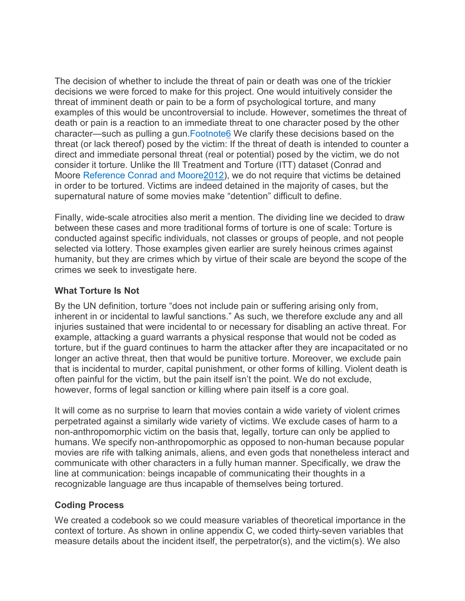The decision of whether to include the threat of pain or death was one of the trickier decisions we were forced to make for this project. One would intuitively consider the threat of imminent death or pain to be a form of psychological torture, and many examples of this would be uncontroversial to include. However, sometimes the threat of death or pain is a reaction to an immediate threat to one character posed by the other character—such as pulling a gun. Footnote6 We clarify these decisions based on the threat (or lack thereof) posed by the victim: If the threat of death is intended to counter a direct and immediate personal threat (real or potential) posed by the victim, we do not consider it torture. Unlike the Ill Treatment and Torture (ITT) dataset (Conrad and Moore Reference Conrad and [Moore2012\)](https://www.cambridge.org/core/journals/perspectives-on-politics/article/wait-theres-torture-in-zootopia-examining-the-prevalence-of-torture-in-popular-movies/4C630F7B231053B66DC436EF598F2E32#ref21), we do not require that victims be detained in order to be tortured. Victims are indeed detained in the majority of cases, but the supernatural nature of some movies make "detention" difficult to define.

Finally, wide-scale atrocities also merit a mention. The dividing line we decided to draw between these cases and more traditional forms of torture is one of scale: Torture is conducted against specific individuals, not classes or groups of people, and not people selected via lottery. Those examples given earlier are surely heinous crimes against humanity, but they are crimes which by virtue of their scale are beyond the scope of the crimes we seek to investigate here.

#### **What Torture Is Not**

By the UN definition, torture "does not include pain or suffering arising only from, inherent in or incidental to lawful sanctions." As such, we therefore exclude any and all injuries sustained that were incidental to or necessary for disabling an active threat. For example, attacking a guard warrants a physical response that would not be coded as torture, but if the guard continues to harm the attacker after they are incapacitated or no longer an active threat, then that would be punitive torture. Moreover, we exclude pain that is incidental to murder, capital punishment, or other forms of killing. Violent death is often painful for the victim, but the pain itself isn't the point. We do not exclude, however, forms of legal sanction or killing where pain itself is a core goal.

It will come as no surprise to learn that movies contain a wide variety of violent crimes perpetrated against a similarly wide variety of victims. We exclude cases of harm to a non-anthropomorphic victim on the basis that, legally, torture can only be applied to humans. We specify non-anthropomorphic as opposed to non-human because popular movies are rife with talking animals, aliens, and even gods that nonetheless interact and communicate with other characters in a fully human manner. Specifically, we draw the line at communication: beings incapable of communicating their thoughts in a recognizable language are thus incapable of themselves being tortured.

#### **Coding Process**

We created a codebook so we could measure variables of theoretical importance in the context of torture. As shown in online appendix C, we coded thirty-seven variables that measure details about the incident itself, the perpetrator(s), and the victim(s). We also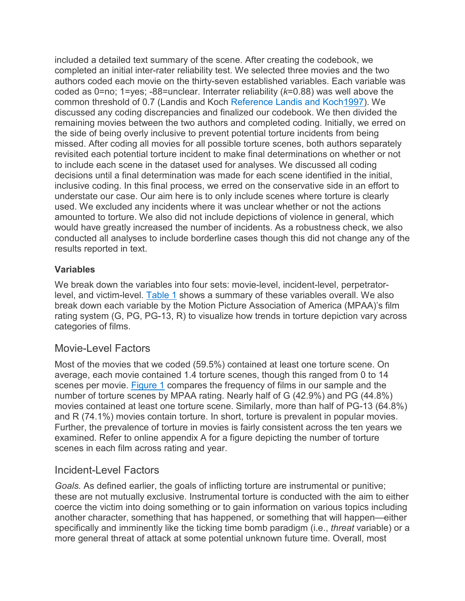included a detailed text summary of the scene. After creating the codebook, we completed an initial inter-rater reliability test. We selected three movies and the two authors coded each movie on the thirty-seven established variables. Each variable was coded as 0=no; 1=yes; -88=unclear. Interrater reliability (*k*=0.88) was well above the common threshold of 0.7 (Landis and Koch Reference Landis and [Koch1997\)](https://www.cambridge.org/core/journals/perspectives-on-politics/article/wait-theres-torture-in-zootopia-examining-the-prevalence-of-torture-in-popular-movies/4C630F7B231053B66DC436EF598F2E32#ref52). We discussed any coding discrepancies and finalized our codebook. We then divided the remaining movies between the two authors and completed coding. Initially, we erred on the side of being overly inclusive to prevent potential torture incidents from being missed. After coding all movies for all possible torture scenes, both authors separately revisited each potential torture incident to make final determinations on whether or not to include each scene in the dataset used for analyses. We discussed all coding decisions until a final determination was made for each scene identified in the initial, inclusive coding. In this final process, we erred on the conservative side in an effort to understate our case. Our aim here is to only include scenes where torture is clearly used. We excluded any incidents where it was unclear whether or not the actions amounted to torture. We also did not include depictions of violence in general, which would have greatly increased the number of incidents. As a robustness check, we also conducted all analyses to include borderline cases though this did not change any of the results reported in text.

#### **Variables**

We break down the variables into four sets: movie-level, incident-level, perpetratorlevel, and victim-level. [Table 1](https://www.cambridge.org/core/journals/perspectives-on-politics/article/wait-theres-torture-in-zootopia-examining-the-prevalence-of-torture-in-popular-movies/4C630F7B231053B66DC436EF598F2E32#tab1) shows a summary of these variables overall. We also break down each variable by the Motion Picture Association of America (MPAA)'s film rating system (G, PG, PG-13, R) to visualize how trends in torture depiction vary across categories of films.

#### Movie-Level Factors

Most of the movies that we coded (59.5%) contained at least one torture scene. On average, each movie contained 1.4 torture scenes, though this ranged from 0 to 14 scenes per movie. [Figure 1](https://www.cambridge.org/core/journals/perspectives-on-politics/article/wait-theres-torture-in-zootopia-examining-the-prevalence-of-torture-in-popular-movies/4C630F7B231053B66DC436EF598F2E32#fig1) compares the frequency of films in our sample and the number of torture scenes by MPAA rating. Nearly half of G (42.9%) and PG (44.8%) movies contained at least one torture scene. Similarly, more than half of PG-13 (64.8%) and R (74.1%) movies contain torture. In short, torture is prevalent in popular movies. Further, the prevalence of torture in movies is fairly consistent across the ten years we examined. Refer to online appendix A for a figure depicting the number of torture scenes in each film across rating and year.

#### Incident-Level Factors

*Goals.* As defined earlier, the goals of inflicting torture are instrumental or punitive; these are not mutually exclusive. Instrumental torture is conducted with the aim to either coerce the victim into doing something or to gain information on various topics including another character, something that has happened, or something that will happen—either specifically and imminently like the ticking time bomb paradigm (i.e., *threat* variable) or a more general threat of attack at some potential unknown future time. Overall, most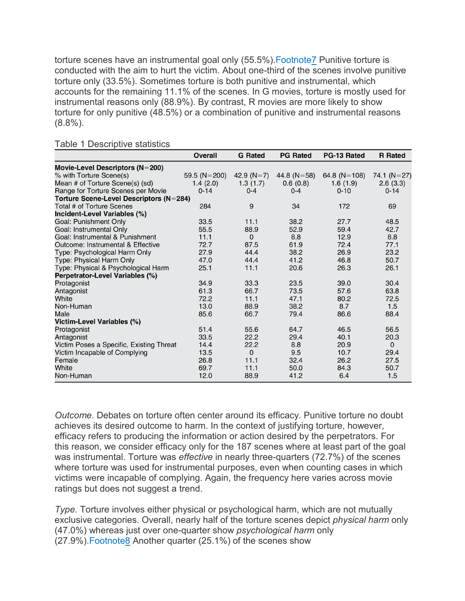torture scenes have an instrumental goal only (55.5%). Footnote<sup>7</sup> Punitive torture is conducted with the aim to hurt the victim. About one-third of the scenes involve punitive torture only (33.5%). Sometimes torture is both punitive and instrumental, which accounts for the remaining 11.1% of the scenes. In G movies, torture is mostly used for instrumental reasons only (88.9%). By contrast, R movies are more likely to show torture for only punitive (48.5%) or a combination of punitive and instrumental reasons (8.8%).

|                                          | <b>Overall</b>     | <b>G</b> Rated | <b>PG Rated</b>   | PG-13 Rated      | <b>R</b> Rated |  |
|------------------------------------------|--------------------|----------------|-------------------|------------------|----------------|--|
| Movie-Level Descriptors (N=200)          |                    |                |                   |                  |                |  |
| % with Torture Scene(s)                  | 59.5 ( $N = 200$ ) | 42.9 $(N=7)$   | 44.8 ( $N = 58$ ) | 64.8 ( $N=108$ ) | 74.1 $(N=27)$  |  |
| Mean # of Torture Scene(s) (sd)          | 1.4(2.0)           | 1.3(1.7)       | 0.6(0.8)          | 1.6(1.9)         | 2.6(3.3)       |  |
| Range for Torture Scenes per Movie       | $0 - 14$           | $0 - 4$        | $0 - 4$           | $0 - 10$         | $0 - 14$       |  |
| Torture Scene-Level Descriptors (N=284)  |                    |                |                   |                  |                |  |
| Total # of Torture Scenes                | 284                | 9              | 34                | 172              | 69             |  |
| Incident-Level Variables (%)             |                    |                |                   |                  |                |  |
| Goal: Punishment Only                    | 33.5               | 11.1           | 38.2              | 27.7             | 48.5           |  |
| Goal: Instrumental Only                  | 55.5               | 88.9           | 52.9              | 59.4             | 42.7           |  |
| Goal: Instrumental & Punishment          | 11.1               | $\Omega$       | 8.8               | 12.9             | 8.8            |  |
| Outcome: Instrumental & Effective        | 72.7               | 87.5           | 61.9              | 72.4             | 77.1           |  |
| Type: Psychological Harm Only            | 27.9               | 44.4           | 38.2              | 26.9             | 23.2           |  |
| Type: Physical Harm Only                 | 47.0               | 44.4           | 41.2              | 46.8             | 50.7           |  |
| Type: Physical & Psychological Harm      | 25.1               | 11.1           | 20.6              | 26.3             | 26.1           |  |
| Perpetrator-Level Variables (%)          |                    |                |                   |                  |                |  |
| Protagonist                              | 34.9               | 33.3           | 23.5              | 39.0             | 30.4           |  |
| Antagonist                               | 61.3               | 66.7           | 73.5              | 57.6             | 63.8           |  |
| White                                    | 72.2               | 11.1           | 47.1              | 80.2             | 72.5           |  |
| Non-Human                                | 13.0               | 88.9           | 38.2              | 8.7              | 1.5            |  |
| Male                                     | 85.6               | 66.7           | 79.4              | 86.6             | 88.4           |  |
| <b>Victim-Level Variables (%)</b>        |                    |                |                   |                  |                |  |
| Protagonist                              | 51.4               | 55.6           | 64.7              | 46.5             | 56.5           |  |
| Antagonist                               | 33.5               | 22.2           | 29.4              | 40.1             | 20.3           |  |
| Victim Poses a Specific, Existing Threat | 14.4               | 22.2           | 8.8               | 20.9             | $\Omega$       |  |
| Victim Incapable of Complying            | 13.5               | $\Omega$       | 9.5               | 10.7             | 29.4           |  |
| Female                                   | 26.8               | 11.1           | 32.4              | 26.2             | 27.5           |  |
| White                                    | 69.7               | 11.1           | 50.0              | 84.3             | 50.7           |  |
| Non-Human                                | 12.0               | 88.9           | 41.2              | 6.4              | 1.5            |  |

Table 1 Descriptive statistics

*Outcome*. Debates on torture often center around its efficacy. Punitive torture no doubt achieves its desired outcome to harm. In the context of justifying torture, however, efficacy refers to producing the information or action desired by the perpetrators. For this reason, we consider efficacy only for the 187 scenes where at least part of the goal was instrumental. Torture was *effective* in nearly three-quarters (72.7%) of the scenes where torture was used for instrumental purposes, even when counting cases in which victims were incapable of complying. Again, the frequency here varies across movie ratings but does not suggest a trend.

*Type.* Torture involves either physical or psychological harm, which are not mutually exclusive categories. Overall, nearly half of the torture scenes depict *physical harm* only (47.0%) whereas just over one-quarter show *psychological harm* only (27.9%)[.Footnote8](https://www.cambridge.org/core/journals/perspectives-on-politics/article/wait-theres-torture-in-zootopia-examining-the-prevalence-of-torture-in-popular-movies/4C630F7B231053B66DC436EF598F2E32#fn8) Another quarter (25.1%) of the scenes show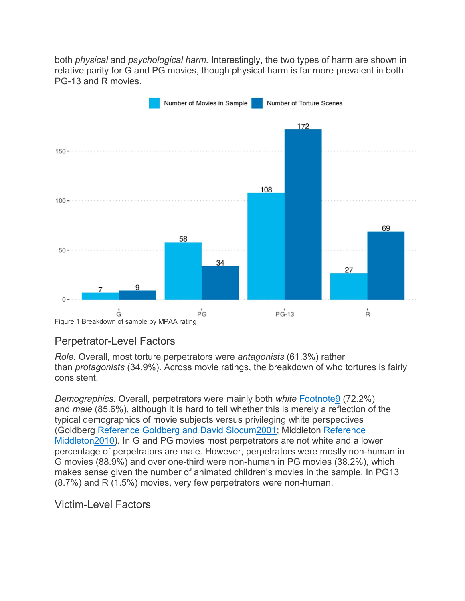both *physical* and *psychological harm.* Interestingly, the two types of harm are shown in relative parity for G and PG movies, though physical harm is far more prevalent in both PG-13 and R movies.



#### Perpetrator-Level Factors

*Role.* Overall, most torture perpetrators were *antagonists* (61.3%) rather than *protagonists* (34.9%). Across movie ratings, the breakdown of who tortures is fairly consistent.

*Demographics.* Overall, perpetrators were mainly both *white* [Footnote9](https://www.cambridge.org/core/journals/perspectives-on-politics/article/wait-theres-torture-in-zootopia-examining-the-prevalence-of-torture-in-popular-movies/4C630F7B231053B66DC436EF598F2E32#fn9) (72.2%) and *male* (85.6%), although it is hard to tell whether this is merely a reflection of the typical demographics of movie subjects versus privileging white perspectives (Goldberg Reference Goldberg and David [Slocum2001;](https://www.cambridge.org/core/journals/perspectives-on-politics/article/wait-theres-torture-in-zootopia-examining-the-prevalence-of-torture-in-popular-movies/4C630F7B231053B66DC436EF598F2E32#ref38) Middleton [Reference](https://www.cambridge.org/core/journals/perspectives-on-politics/article/wait-theres-torture-in-zootopia-examining-the-prevalence-of-torture-in-popular-movies/4C630F7B231053B66DC436EF598F2E32#ref55) [Middleton2010\)](https://www.cambridge.org/core/journals/perspectives-on-politics/article/wait-theres-torture-in-zootopia-examining-the-prevalence-of-torture-in-popular-movies/4C630F7B231053B66DC436EF598F2E32#ref55). In G and PG movies most perpetrators are not white and a lower percentage of perpetrators are male. However, perpetrators were mostly non-human in G movies (88.9%) and over one-third were non-human in PG movies (38.2%), which makes sense given the number of animated children's movies in the sample. In PG13 (8.7%) and R (1.5%) movies, very few perpetrators were non-human.

#### Victim-Level Factors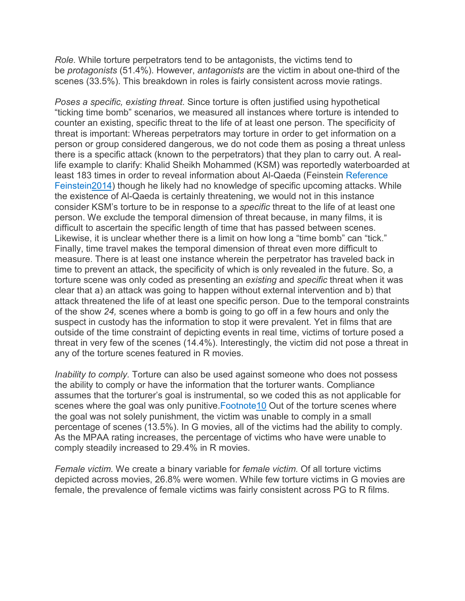*Role.* While torture perpetrators tend to be antagonists, the victims tend to be *protagonists* (51.4%). However, *antagonists* are the victim in about one-third of the scenes (33.5%). This breakdown in roles is fairly consistent across movie ratings.

*Poses a specific, existing threat.* Since torture is often justified using hypothetical "ticking time bomb" scenarios, we measured all instances where torture is intended to counter an existing, specific threat to the life of at least one person. The specificity of threat is important: Whereas perpetrators may torture in order to get information on a person or group considered dangerous, we do not code them as posing a threat unless there is a specific attack (known to the perpetrators) that they plan to carry out. A reallife example to clarify: Khalid Sheikh Mohammed (KSM) was reportedly waterboarded at least 183 times in order to reveal information about Al-Qaeda (Feinstein [Reference](https://www.cambridge.org/core/journals/perspectives-on-politics/article/wait-theres-torture-in-zootopia-examining-the-prevalence-of-torture-in-popular-movies/4C630F7B231053B66DC436EF598F2E32#ref33) [Feinstein2014\)](https://www.cambridge.org/core/journals/perspectives-on-politics/article/wait-theres-torture-in-zootopia-examining-the-prevalence-of-torture-in-popular-movies/4C630F7B231053B66DC436EF598F2E32#ref33) though he likely had no knowledge of specific upcoming attacks. While the existence of Al-Qaeda is certainly threatening, we would not in this instance consider KSM's torture to be in response to a *specific* threat to the life of at least one person. We exclude the temporal dimension of threat because, in many films, it is difficult to ascertain the specific length of time that has passed between scenes. Likewise, it is unclear whether there is a limit on how long a "time bomb" can "tick." Finally, time travel makes the temporal dimension of threat even more difficult to measure. There is at least one instance wherein the perpetrator has traveled back in time to prevent an attack, the specificity of which is only revealed in the future. So, a torture scene was only coded as presenting an *existing* and *specific* threat when it was clear that a) an attack was going to happen without external intervention and b) that attack threatened the life of at least one specific person. Due to the temporal constraints of the show *24,* scenes where a bomb is going to go off in a few hours and only the suspect in custody has the information to stop it were prevalent. Yet in films that are outside of the time constraint of depicting events in real time, victims of torture posed a threat in very few of the scenes (14.4%). Interestingly, the victim did not pose a threat in any of the torture scenes featured in R movies.

*Inability to comply.* Torture can also be used against someone who does not possess the ability to comply or have the information that the torturer wants. Compliance assumes that the torturer's goal is instrumental, so we coded this as not applicable for scenes where the goal was only punitive. Footnote 10 Out of the torture scenes where the goal was not solely punishment, the victim was unable to comply in a small percentage of scenes (13.5%). In G movies, all of the victims had the ability to comply. As the MPAA rating increases, the percentage of victims who have were unable to comply steadily increased to 29.4% in R movies.

*Female victim.* We create a binary variable for *female victim.* Of all torture victims depicted across movies, 26.8% were women. While few torture victims in G movies are female, the prevalence of female victims was fairly consistent across PG to R films.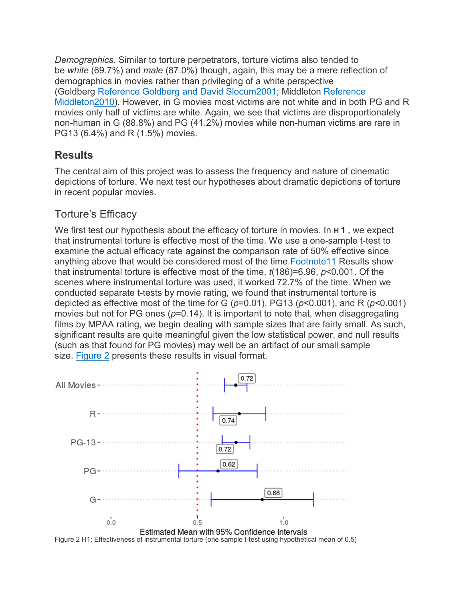*Demographics.* Similar to torture perpetrators, torture victims also tended to be *white* (69.7%) and *male* (87.0%) though, again, this may be a mere reflection of demographics in movies rather than privileging of a white perspective (Goldberg Reference Goldberg and David [Slocum2001;](https://www.cambridge.org/core/journals/perspectives-on-politics/article/wait-theres-torture-in-zootopia-examining-the-prevalence-of-torture-in-popular-movies/4C630F7B231053B66DC436EF598F2E32#ref38) Middleton [Reference](https://www.cambridge.org/core/journals/perspectives-on-politics/article/wait-theres-torture-in-zootopia-examining-the-prevalence-of-torture-in-popular-movies/4C630F7B231053B66DC436EF598F2E32#ref55) [Middleton2010\)](https://www.cambridge.org/core/journals/perspectives-on-politics/article/wait-theres-torture-in-zootopia-examining-the-prevalence-of-torture-in-popular-movies/4C630F7B231053B66DC436EF598F2E32#ref55). However, in G movies most victims are not white and in both PG and R movies only half of victims are white. Again, we see that victims are disproportionately non-human in G (88.8%) and PG (41.2%) movies while non-human victims are rare in PG13 (6.4%) and R (1.5%) movies.

# **Results**

The central aim of this project was to assess the frequency and nature of cinematic depictions of torture. We next test our hypotheses about dramatic depictions of torture in recent popular movies.

# Torture's Efficacy

We first test our hypothesis about the efficacy of torture in movies. In **H 1** , we expect that instrumental torture is effective most of the time. We use a one-sample t-test to examine the actual efficacy rate against the comparison rate of 50% effective since anything above that would be considered most of the time[.Footnote11](https://www.cambridge.org/core/journals/perspectives-on-politics/article/wait-theres-torture-in-zootopia-examining-the-prevalence-of-torture-in-popular-movies/4C630F7B231053B66DC436EF598F2E32#fn11) Results show that instrumental torture is effective most of the time, *t*(186)=6.96, *p*<0.001. Of the scenes where instrumental torture was used, it worked 72.7% of the time. When we conducted separate t-tests by movie rating, we found that instrumental torture is depicted as effective most of the time for G (*p*=0.01), PG13 (*p*<0.001), and R (*p*<0.001) movies but not for PG ones ( $p=0.14$ ). It is important to note that, when disaggregating films by MPAA rating, we begin dealing with sample sizes that are fairly small. As such, significant results are quite meaningful given the low statistical power, and null results (such as that found for PG movies) may well be an artifact of our small sample size. [Figure 2](https://www.cambridge.org/core/journals/perspectives-on-politics/article/wait-theres-torture-in-zootopia-examining-the-prevalence-of-torture-in-popular-movies/4C630F7B231053B66DC436EF598F2E32#fig2) presents these results in visual format.

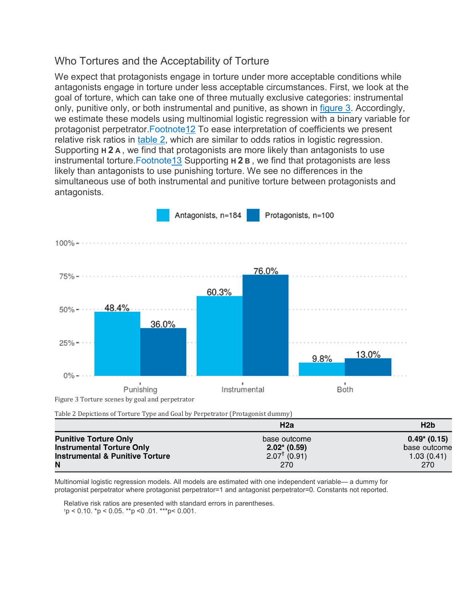#### Who Tortures and the Acceptability of Torture

We expect that protagonists engage in torture under more acceptable conditions while antagonists engage in torture under less acceptable circumstances. First, we look at the goal of torture, which can take one of three mutually exclusive categories: instrumental only, punitive only, or both instrumental and punitive, as shown in [figure 3.](https://www.cambridge.org/core/journals/perspectives-on-politics/article/wait-theres-torture-in-zootopia-examining-the-prevalence-of-torture-in-popular-movies/4C630F7B231053B66DC436EF598F2E32#fig3) Accordingly, we estimate these models using multinomial logistic regression with a binary variable for protagonist perpetrator[.Footnote12](https://www.cambridge.org/core/journals/perspectives-on-politics/article/wait-theres-torture-in-zootopia-examining-the-prevalence-of-torture-in-popular-movies/4C630F7B231053B66DC436EF598F2E32#fn12) To ease interpretation of coefficients we present relative risk ratios in [table 2,](https://www.cambridge.org/core/journals/perspectives-on-politics/article/wait-theres-torture-in-zootopia-examining-the-prevalence-of-torture-in-popular-movies/4C630F7B231053B66DC436EF598F2E32#tab2) which are similar to odds ratios in logistic regression. Supporting **H 2 A** , we find that protagonists are more likely than antagonists to use instrumental torture[.Footnote13](https://www.cambridge.org/core/journals/perspectives-on-politics/article/wait-theres-torture-in-zootopia-examining-the-prevalence-of-torture-in-popular-movies/4C630F7B231053B66DC436EF598F2E32#fn13) Supporting **H 2 B** , we find that protagonists are less likely than antagonists to use punishing torture. We see no differences in the simultaneous use of both instrumental and punitive torture between protagonists and antagonists.



| Table 2 Depittions of Torture Type and Goal by Ferpetrator (Frougoinst duminy) |                         |                 |
|--------------------------------------------------------------------------------|-------------------------|-----------------|
|                                                                                | H2a                     | H2b             |
| <b>Punitive Torture Only</b>                                                   | base outcome            | $0.49^*$ (0.15) |
| <b>Instrumental Torture Only</b>                                               | $2.02* (0.59)$          | base outcome    |
| <b>Instrumental &amp; Punitive Torture</b>                                     | $2.07^{\dagger}$ (0.91) | 1.03(0.41)      |
| N                                                                              | 270                     | 270             |

Multinomial logistic regression models. All models are estimated with one independent variable— a dummy for protagonist perpetrator where protagonist perpetrator=1 and antagonist perpetrator=0. Constants not reported.

Relative risk ratios are presented with standard errors in parentheses. † p < 0.10. \*p < 0.05. \*\*p <0 .01. \*\*\*p< 0.001.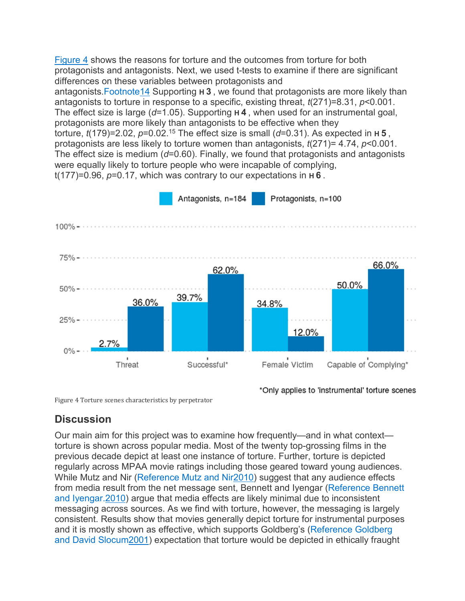[Figure 4](https://www.cambridge.org/core/journals/perspectives-on-politics/article/wait-theres-torture-in-zootopia-examining-the-prevalence-of-torture-in-popular-movies/4C630F7B231053B66DC436EF598F2E32#fig4) shows the reasons for torture and the outcomes from torture for both protagonists and antagonists. Next, we used t-tests to examine if there are significant differences on these variables between protagonists and antagonists[.Footnote14](https://www.cambridge.org/core/journals/perspectives-on-politics/article/wait-theres-torture-in-zootopia-examining-the-prevalence-of-torture-in-popular-movies/4C630F7B231053B66DC436EF598F2E32#fn14) Supporting **H 3** , we found that protagonists are more likely than antagonists to torture in response to a specific, existing threat, *t*(271)=8.31, *p*<0.001. The effect size is large (*d*=1.05). Supporting **H 4** , when used for an instrumental goal, protagonists are more likely than antagonists to be effective when they torture, *t*(179)=2.02, *p*=0.02.15 The effect size is small (*d*=0.31). As expected in **H 5** , protagonists are less likely to torture women than antagonists, *t*(271)= 4.74, *p*<0.001. The effect size is medium (*d*=0.60). Finally, we found that protagonists and antagonists were equally likely to torture people who were incapable of complying, t(177)=0.96, *p*=0.17, which was contrary to our expectations in **H 6** .



Figure 4 Torture scenes characteristics by perpetrator

\*Only applies to 'instrumental' torture scenes

# **Discussion**

Our main aim for this project was to examine how frequently—and in what context torture is shown across popular media. Most of the twenty top-grossing films in the previous decade depict at least one instance of torture. Further, torture is depicted regularly across MPAA movie ratings including those geared toward young audiences. While Mutz and Nir [\(Reference](https://www.cambridge.org/core/journals/perspectives-on-politics/article/wait-theres-torture-in-zootopia-examining-the-prevalence-of-torture-in-popular-movies/4C630F7B231053B66DC436EF598F2E32#ref58) Mutz and Nir2010) suggest that any audience effects from media result from the net message sent, Bennett and Iyengar [\(Reference](https://www.cambridge.org/core/journals/perspectives-on-politics/article/wait-theres-torture-in-zootopia-examining-the-prevalence-of-torture-in-popular-movies/4C630F7B231053B66DC436EF598F2E32#ref9) Bennett and [Iyengar.2010\)](https://www.cambridge.org/core/journals/perspectives-on-politics/article/wait-theres-torture-in-zootopia-examining-the-prevalence-of-torture-in-popular-movies/4C630F7B231053B66DC436EF598F2E32#ref9) argue that media effects are likely minimal due to inconsistent messaging across sources. As we find with torture, however, the messaging is largely consistent. Results show that movies generally depict torture for instrumental purposes and it is mostly shown as effective, which supports Goldberg's [\(Reference Goldberg](https://www.cambridge.org/core/journals/perspectives-on-politics/article/wait-theres-torture-in-zootopia-examining-the-prevalence-of-torture-in-popular-movies/4C630F7B231053B66DC436EF598F2E32#ref38) and David [Slocum2001\)](https://www.cambridge.org/core/journals/perspectives-on-politics/article/wait-theres-torture-in-zootopia-examining-the-prevalence-of-torture-in-popular-movies/4C630F7B231053B66DC436EF598F2E32#ref38) expectation that torture would be depicted in ethically fraught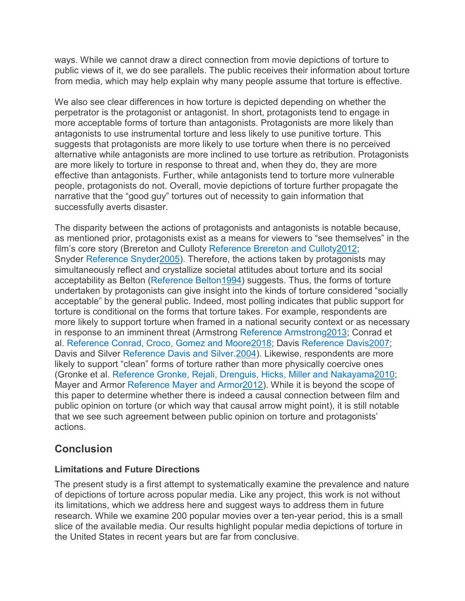ways. While we cannot draw a direct connection from movie depictions of torture to public views of it, we do see parallels. The public receives their information about torture from media, which may help explain why many people assume that torture is effective.

We also see clear differences in how torture is depicted depending on whether the perpetrator is the protagonist or antagonist. In short, protagonists tend to engage in more acceptable forms of torture than antagonists. Protagonists are more likely than antagonists to use instrumental torture and less likely to use punitive torture. This suggests that protagonists are more likely to use torture when there is no perceived alternative while antagonists are more inclined to use torture as retribution. Protagonists are more likely to torture in response to threat and, when they do, they are more effective than antagonists. Further, while antagonists tend to torture more vulnerable people, protagonists do not. Overall, movie depictions of torture further propagate the narrative that the "good guy" tortures out of necessity to gain information that successfully averts disaster.

The disparity between the actions of protagonists and antagonists is notable because, as mentioned prior, protagonists exist as a means for viewers to "see themselves" in the film's core story (Brereton and Culloty Reference Brereton and [Culloty2012;](https://www.cambridge.org/core/journals/perspectives-on-politics/article/wait-theres-torture-in-zootopia-examining-the-prevalence-of-torture-in-popular-movies/4C630F7B231053B66DC436EF598F2E32#ref13) Snyder Reference [Snyder2005\)](https://www.cambridge.org/core/journals/perspectives-on-politics/article/wait-theres-torture-in-zootopia-examining-the-prevalence-of-torture-in-popular-movies/4C630F7B231053B66DC436EF598F2E32#ref70). Therefore, the actions taken by protagonists may simultaneously reflect and crystallize societal attitudes about torture and its social acceptability as Belton (Reference Belton 1994) suggests. Thus, the forms of torture undertaken by protagonists can give insight into the kinds of torture considered "socially acceptable" by the general public. Indeed, most polling indicates that public support for torture is conditional on the forms that torture takes. For example, respondents are more likely to support torture when framed in a national security context or as necessary in response to an imminent threat (Armstrong Reference [Armstrong2013;](https://www.cambridge.org/core/journals/perspectives-on-politics/article/wait-theres-torture-in-zootopia-examining-the-prevalence-of-torture-in-popular-movies/4C630F7B231053B66DC436EF598F2E32#ref4) Conrad et al. Reference Conrad, Croco, Gomez and [Moore2018;](https://www.cambridge.org/core/journals/perspectives-on-politics/article/wait-theres-torture-in-zootopia-examining-the-prevalence-of-torture-in-popular-movies/4C630F7B231053B66DC436EF598F2E32#ref20) Davis Reference [Davis2007;](https://www.cambridge.org/core/journals/perspectives-on-politics/article/wait-theres-torture-in-zootopia-examining-the-prevalence-of-torture-in-popular-movies/4C630F7B231053B66DC436EF598F2E32#ref26) Davis and Silver Reference Davis and [Silver.2004\)](https://www.cambridge.org/core/journals/perspectives-on-politics/article/wait-theres-torture-in-zootopia-examining-the-prevalence-of-torture-in-popular-movies/4C630F7B231053B66DC436EF598F2E32#ref27). Likewise, respondents are more likely to support "clean" forms of torture rather than more physically coercive ones (Gronke et al. Reference Gronke, Rejali, [Drenguis, Hicks, Miller](https://www.cambridge.org/core/journals/perspectives-on-politics/article/wait-theres-torture-in-zootopia-examining-the-prevalence-of-torture-in-popular-movies/4C630F7B231053B66DC436EF598F2E32#ref40) and Nakayama2010; Mayer and Armor Reference Mayer and [Armor2012\)](https://www.cambridge.org/core/journals/perspectives-on-politics/article/wait-theres-torture-in-zootopia-examining-the-prevalence-of-torture-in-popular-movies/4C630F7B231053B66DC436EF598F2E32#ref53). While it is beyond the scope of this paper to determine whether there is indeed a causal connection between film and public opinion on torture (or which way that causal arrow might point), it is still notable that we see such agreement between public opinion on torture and protagonists' actions.

# **Conclusion**

#### **Limitations and Future Directions**

The present study is a first attempt to systematically examine the prevalence and nature of depictions of torture across popular media. Like any project, this work is not without its limitations, which we address here and suggest ways to address them in future research. While we examine 200 popular movies over a ten-year period, this is a small slice of the available media. Our results highlight popular media depictions of torture in the United States in recent years but are far from conclusive.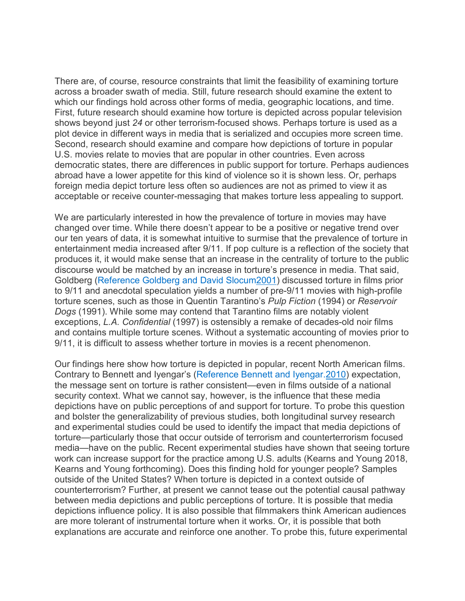There are, of course, resource constraints that limit the feasibility of examining torture across a broader swath of media. Still, future research should examine the extent to which our findings hold across other forms of media, geographic locations, and time. First, future research should examine how torture is depicted across popular television shows beyond just *24* or other terrorism-focused shows. Perhaps torture is used as a plot device in different ways in media that is serialized and occupies more screen time. Second, research should examine and compare how depictions of torture in popular U.S. movies relate to movies that are popular in other countries. Even across democratic states, there are differences in public support for torture. Perhaps audiences abroad have a lower appetite for this kind of violence so it is shown less. Or, perhaps foreign media depict torture less often so audiences are not as primed to view it as acceptable or receive counter-messaging that makes torture less appealing to support.

We are particularly interested in how the prevalence of torture in movies may have changed over time. While there doesn't appear to be a positive or negative trend over our ten years of data, it is somewhat intuitive to surmise that the prevalence of torture in entertainment media increased after 9/11. If pop culture is a reflection of the society that produces it, it would make sense that an increase in the centrality of torture to the public discourse would be matched by an increase in torture's presence in media. That said, Goldberg (Reference Goldberg and David [Slocum2001\)](https://www.cambridge.org/core/journals/perspectives-on-politics/article/wait-theres-torture-in-zootopia-examining-the-prevalence-of-torture-in-popular-movies/4C630F7B231053B66DC436EF598F2E32#ref38) discussed torture in films prior to 9/11 and anecdotal speculation yields a number of pre-9/11 movies with high-profile torture scenes, such as those in Quentin Tarantino's *Pulp Fiction* (1994) or *Reservoir Dogs* (1991). While some may contend that Tarantino films are notably violent exceptions, *L.A. Confidential* (1997) is ostensibly a remake of decades-old noir films and contains multiple torture scenes. Without a systematic accounting of movies prior to 9/11, it is difficult to assess whether torture in movies is a recent phenomenon.

Our findings here show how torture is depicted in popular, recent North American films. Contrary to Bennett and Iyengar's (Reference Bennett and [Iyengar.2010\)](https://www.cambridge.org/core/journals/perspectives-on-politics/article/wait-theres-torture-in-zootopia-examining-the-prevalence-of-torture-in-popular-movies/4C630F7B231053B66DC436EF598F2E32#ref9) expectation, the message sent on torture is rather consistent—even in films outside of a national security context. What we cannot say, however, is the influence that these media depictions have on public perceptions of and support for torture. To probe this question and bolster the generalizability of previous studies, both longitudinal survey research and experimental studies could be used to identify the impact that media depictions of torture—particularly those that occur outside of terrorism and counterterrorism focused media—have on the public. Recent experimental studies have shown that seeing torture work can increase support for the practice among U.S. adults (Kearns and Young 2018, Kearns and Young forthcoming). Does this finding hold for younger people? Samples outside of the United States? When torture is depicted in a context outside of counterterrorism? Further, at present we cannot tease out the potential causal pathway between media depictions and public perceptions of torture. It is possible that media depictions influence policy. It is also possible that filmmakers think American audiences are more tolerant of instrumental torture when it works. Or, it is possible that both explanations are accurate and reinforce one another. To probe this, future experimental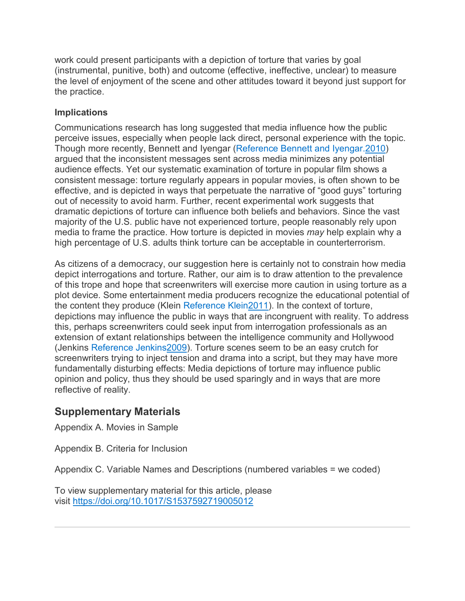work could present participants with a depiction of torture that varies by goal (instrumental, punitive, both) and outcome (effective, ineffective, unclear) to measure the level of enjoyment of the scene and other attitudes toward it beyond just support for the practice.

#### **Implications**

Communications research has long suggested that media influence how the public perceive issues, especially when people lack direct, personal experience with the topic. Though more recently, Bennett and Iyengar (Reference Bennett and [Iyengar.2010\)](https://www.cambridge.org/core/journals/perspectives-on-politics/article/wait-theres-torture-in-zootopia-examining-the-prevalence-of-torture-in-popular-movies/4C630F7B231053B66DC436EF598F2E32#ref9) argued that the inconsistent messages sent across media minimizes any potential audience effects. Yet our systematic examination of torture in popular film shows a consistent message: torture regularly appears in popular movies, is often shown to be effective, and is depicted in ways that perpetuate the narrative of "good guys" torturing out of necessity to avoid harm. Further, recent experimental work suggests that dramatic depictions of torture can influence both beliefs and behaviors. Since the vast majority of the U.S. public have not experienced torture, people reasonably rely upon media to frame the practice. How torture is depicted in movies *may* help explain why a high percentage of U.S. adults think torture can be acceptable in counterterrorism.

As citizens of a democracy, our suggestion here is certainly not to constrain how media depict interrogations and torture. Rather, our aim is to draw attention to the prevalence of this trope and hope that screenwriters will exercise more caution in using torture as a plot device. Some entertainment media producers recognize the educational potential of the content they produce (Klein Reference [Klein2011\)](https://www.cambridge.org/core/journals/perspectives-on-politics/article/wait-theres-torture-in-zootopia-examining-the-prevalence-of-torture-in-popular-movies/4C630F7B231053B66DC436EF598F2E32#ref49). In the context of torture, depictions may influence the public in ways that are incongruent with reality. To address this, perhaps screenwriters could seek input from interrogation professionals as an extension of extant relationships between the intelligence community and Hollywood (Jenkins [Reference Jenkins2009\)](https://www.cambridge.org/core/journals/perspectives-on-politics/article/wait-theres-torture-in-zootopia-examining-the-prevalence-of-torture-in-popular-movies/4C630F7B231053B66DC436EF598F2E32#ref43). Torture scenes seem to be an easy crutch for screenwriters trying to inject tension and drama into a script, but they may have more fundamentally disturbing effects: Media depictions of torture may influence public opinion and policy, thus they should be used sparingly and in ways that are more reflective of reality.

# **Supplementary Materials**

Appendix A. Movies in Sample

Appendix B. Criteria for Inclusion

Appendix C. Variable Names and Descriptions (numbered variables = we coded)

To view supplementary material for this article, please visit <https://doi.org/10.1017/S1537592719005012>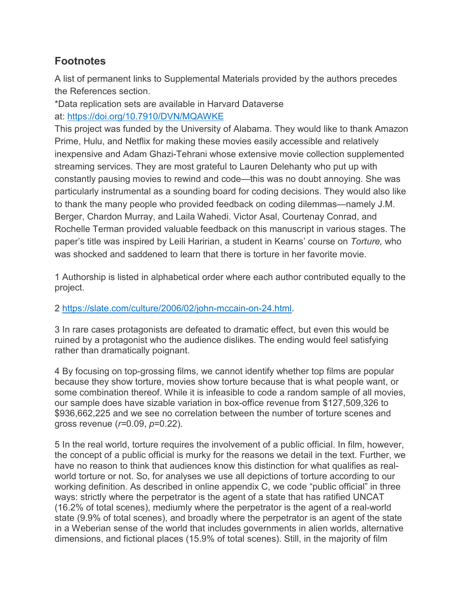# **Footnotes**

A list of permanent links to Supplemental Materials provided by the authors precedes the References section.

\*Data replication sets are available in Harvard Dataverse at: <https://doi.org/10.7910/DVN/MQAWKE>

This project was funded by the University of Alabama. They would like to thank Amazon Prime, Hulu, and Netflix for making these movies easily accessible and relatively inexpensive and Adam Ghazi-Tehrani whose extensive movie collection supplemented streaming services. They are most grateful to Lauren Delehanty who put up with constantly pausing movies to rewind and code—this was no doubt annoying. She was particularly instrumental as a sounding board for coding decisions. They would also like to thank the many people who provided feedback on coding dilemmas—namely J.M. Berger, Chardon Murray, and Laila Wahedi. Victor Asal, Courtenay Conrad, and Rochelle Terman provided valuable feedback on this manuscript in various stages. The paper's title was inspired by Leili Haririan, a student in Kearns' course on *Torture,* who was shocked and saddened to learn that there is torture in her favorite movie.

1 Authorship is listed in alphabetical order where each author contributed equally to the project.

#### 2 [https://slate.com/culture/2006/02/john-mccain-on-24.html.](https://slate.com/culture/2006/02/john-mccain-on-24.html)

3 In rare cases protagonists are defeated to dramatic effect, but even this would be ruined by a protagonist who the audience dislikes. The ending would feel satisfying rather than dramatically poignant.

4 By focusing on top-grossing films, we cannot identify whether top films are popular because they show torture, movies show torture because that is what people want, or some combination thereof. While it is infeasible to code a random sample of all movies, our sample does have sizable variation in box-office revenue from \$127,509,326 to \$936,662,225 and we see no correlation between the number of torture scenes and gross revenue (*r=*0.09, *p*=0.22).

5 In the real world, torture requires the involvement of a public official. In film, however, the concept of a public official is murky for the reasons we detail in the text. Further, we have no reason to think that audiences know this distinction for what qualifies as realworld torture or not. So, for analyses we use all depictions of torture according to our working definition. As described in online appendix C, we code "public official" in three ways: strictly where the perpetrator is the agent of a state that has ratified UNCAT (16.2% of total scenes), mediumly where the perpetrator is the agent of a real-world state (9.9% of total scenes), and broadly where the perpetrator is an agent of the state in a Weberian sense of the world that includes governments in alien worlds, alternative dimensions, and fictional places (15.9% of total scenes). Still, in the majority of film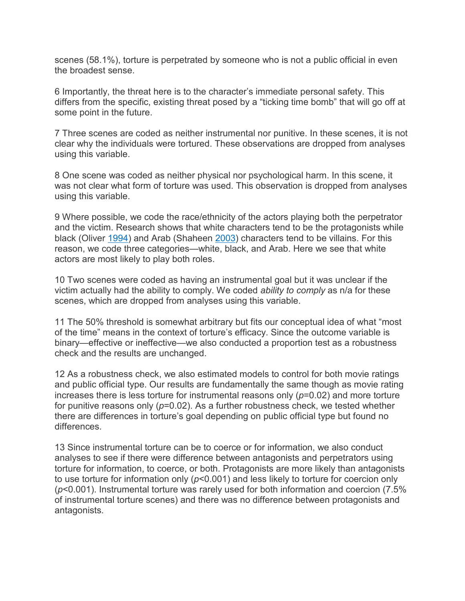scenes (58.1%), torture is perpetrated by someone who is not a public official in even the broadest sense.

6 Importantly, the threat here is to the character's immediate personal safety. This differs from the specific, existing threat posed by a "ticking time bomb" that will go off at some point in the future.

7 Three scenes are coded as neither instrumental nor punitive. In these scenes, it is not clear why the individuals were tortured. These observations are dropped from analyses using this variable.

8 One scene was coded as neither physical nor psychological harm. In this scene, it was not clear what form of torture was used. This observation is dropped from analyses using this variable.

9 Where possible, we code the race/ethnicity of the actors playing both the perpetrator and the victim. Research shows that white characters tend to be the protagonists while black (Oliver [1994\)](https://www.cambridge.org/core/journals/perspectives-on-politics/article/wait-theres-torture-in-zootopia-examining-the-prevalence-of-torture-in-popular-movies/4C630F7B231053B66DC436EF598F2E32#ref64) and Arab (Shaheen [2003\)](https://www.cambridge.org/core/journals/perspectives-on-politics/article/wait-theres-torture-in-zootopia-examining-the-prevalence-of-torture-in-popular-movies/4C630F7B231053B66DC436EF598F2E32#ref68) characters tend to be villains. For this reason, we code three categories—white, black, and Arab. Here we see that white actors are most likely to play both roles.

10 Two scenes were coded as having an instrumental goal but it was unclear if the victim actually had the ability to comply. We coded *ability to comply* as n/a for these scenes, which are dropped from analyses using this variable.

11 The 50% threshold is somewhat arbitrary but fits our conceptual idea of what "most of the time" means in the context of torture's efficacy. Since the outcome variable is binary—effective or ineffective—we also conducted a proportion test as a robustness check and the results are unchanged.

12 As a robustness check, we also estimated models to control for both movie ratings and public official type. Our results are fundamentally the same though as movie rating increases there is less torture for instrumental reasons only (*p*=0.02) and more torture for punitive reasons only (*p*=0.02). As a further robustness check, we tested whether there are differences in torture's goal depending on public official type but found no differences.

13 Since instrumental torture can be to coerce or for information, we also conduct analyses to see if there were difference between antagonists and perpetrators using torture for information, to coerce, or both. Protagonists are more likely than antagonists to use torture for information only (*p*<0.001) and less likely to torture for coercion only (*p*<0.001). Instrumental torture was rarely used for both information and coercion (7.5% of instrumental torture scenes) and there was no difference between protagonists and antagonists.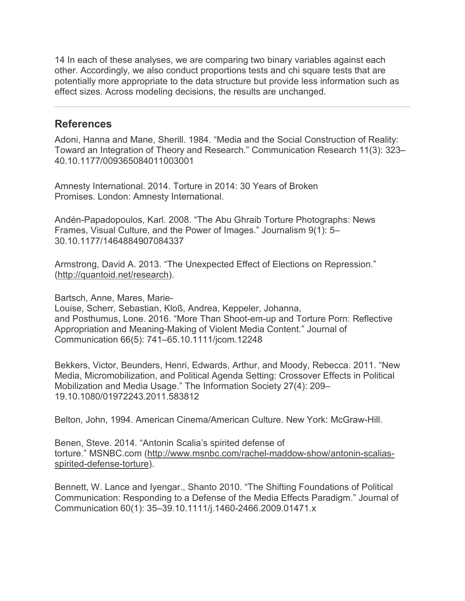14 In each of these analyses, we are comparing two binary variables against each other. Accordingly, we also conduct proportions tests and chi square tests that are potentially more appropriate to the data structure but provide less information such as effect sizes. Across modeling decisions, the results are unchanged.

#### **References**

Adoni, Hanna and Mane, Sherill. 1984. "Media and the Social Construction of Reality: Toward an Integration of Theory and Research." Communication Research 11(3): 323– 40.10.1177/009365084011003001

Amnesty International. 2014. Torture in 2014: 30 Years of Broken Promises. London: Amnesty International.

Andén-Papadopoulos, Karl. 2008. "The Abu Ghraib Torture Photographs: News Frames, Visual Culture, and the Power of Images." Journalism 9(1): 5– 30.10.1177/1464884907084337

Armstrong, David A. 2013. "The Unexpected Effect of Elections on Repression." [\(http://quantoid.net/research\)](http://quantoid.net/research).

Bartsch, Anne, Mares, Marie-

Louise, Scherr, Sebastian, Kloß, Andrea, Keppeler, Johanna, and Posthumus, Lone. 2016. "More Than Shoot-em-up and Torture Porn: Reflective Appropriation and Meaning-Making of Violent Media Content." Journal of Communication 66(5): 741–65.10.1111/jcom.12248

Bekkers, Victor, Beunders, Henri, Edwards, Arthur, and Moody, Rebecca. 2011. "New Media, Micromobilization, and Political Agenda Setting: Crossover Effects in Political Mobilization and Media Usage." The Information Society 27(4): 209– 19.10.1080/01972243.2011.583812

Belton, John, 1994. American Cinema/American Culture. New York: McGraw-Hill.

Benen, Steve. 2014. "Antonin Scalia's spirited defense of torture." MSNBC.com [\(http://www.msnbc.com/rachel-maddow-show/antonin-scalias](http://www.msnbc.com/rachel-maddow-show/antonin-scalias-spirited-defense-torture)[spirited-defense-torture\)](http://www.msnbc.com/rachel-maddow-show/antonin-scalias-spirited-defense-torture).

Bennett, W. Lance and Iyengar., Shanto 2010. "The Shifting Foundations of Political Communication: Responding to a Defense of the Media Effects Paradigm." Journal of Communication 60(1): 35–39.10.1111/j.1460-2466.2009.01471.x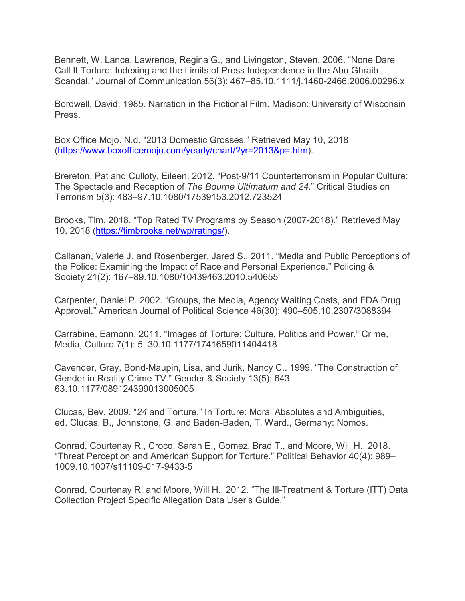Bennett, W. Lance, Lawrence, Regina G., and Livingston, Steven. 2006. "None Dare Call It Torture: Indexing and the Limits of Press Independence in the Abu Ghraib Scandal." Journal of Communication 56(3): 467–85.10.1111/j.1460-2466.2006.00296.x

Bordwell, David. 1985. Narration in the Fictional Film. Madison: University of Wisconsin Press.

Box Office Mojo. N.d. "2013 Domestic Grosses." Retrieved May 10, 2018 [\(https://www.boxofficemojo.com/yearly/chart/?yr=2013&p=.htm\)](https://www.boxofficemojo.com/yearly/chart/?yr=2013&p=.htm).

Brereton, Pat and Culloty, Eileen. 2012. "Post-9/11 Counterterrorism in Popular Culture: The Spectacle and Reception of *The Bourne Ultimatum and 24*." Critical Studies on Terrorism 5(3): 483–97.10.1080/17539153.2012.723524

Brooks, Tim. 2018. "Top Rated TV Programs by Season (2007-2018)." Retrieved May 10, 2018 [\(https://timbrooks.net/wp/ratings/\)](https://timbrooks.net/wp/ratings/).

Callanan, Valerie J. and Rosenberger, Jared S.. 2011. "Media and Public Perceptions of the Police: Examining the Impact of Race and Personal Experience." Policing & Society 21(2): 167–89.10.1080/10439463.2010.540655

Carpenter, Daniel P. 2002. "Groups, the Media, Agency Waiting Costs, and FDA Drug Approval." American Journal of Political Science 46(30): 490–505.10.2307/3088394

Carrabine, Eamonn. 2011. "Images of Torture: Culture, Politics and Power." Crime, Media, Culture 7(1): 5–30.10.1177/1741659011404418

Cavender, Gray, Bond-Maupin, Lisa, and Jurik, Nancy C.. 1999. "The Construction of Gender in Reality Crime TV." Gender & Society 13(5): 643– 63.10.1177/089124399013005005

Clucas, Bev. 2009. "*24* and Torture." In Torture: Moral Absolutes and Ambiguities, ed. Clucas, B., Johnstone, G. and Baden-Baden, T. Ward., Germany: Nomos.

Conrad, Courtenay R., Croco, Sarah E., Gomez, Brad T., and Moore, Will H.. 2018. "Threat Perception and American Support for Torture." Political Behavior 40(4): 989– 1009.10.1007/s11109-017-9433-5

Conrad, Courtenay R. and Moore, Will H.. 2012. "The Ill-Treatment & Torture (ITT) Data Collection Project Specific Allegation Data User's Guide."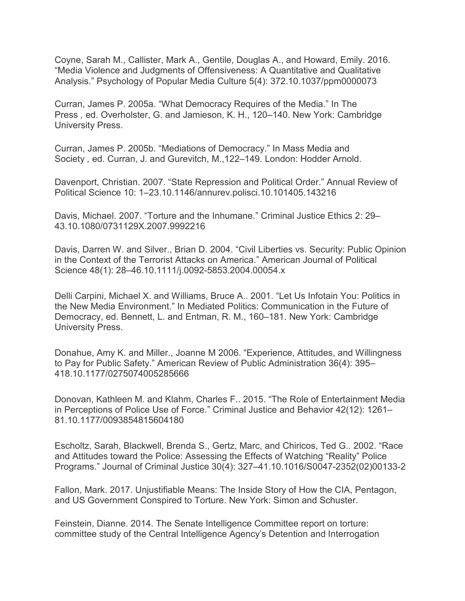Coyne, Sarah M., Callister, Mark A., Gentile, Douglas A., and Howard, Emily. 2016. "Media Violence and Judgments of Offensiveness: A Quantitative and Qualitative Analysis." Psychology of Popular Media Culture 5(4): 372.10.1037/ppm0000073

Curran, James P. 2005a. "What Democracy Requires of the Media." In The Press *,* ed. Overholster, G. and Jamieson, K. H., 120–140. New York: Cambridge University Press.

Curran, James P. 2005b. "Mediations of Democracy." In Mass Media and Society *,* ed. Curran, J. and Gurevitch, M.,122–149. London: Hodder Arnold.

Davenport, Christian. 2007. "State Repression and Political Order." Annual Review of Political Science 10: 1–23.10.1146/annurev.polisci.10.101405.143216

Davis, Michael. 2007. "Torture and the Inhumane." Criminal Justice Ethics 2: 29– 43.10.1080/0731129X.2007.9992216

Davis, Darren W. and Silver., Brian D. 2004. "Civil Liberties vs. Security: Public Opinion in the Context of the Terrorist Attacks on America." American Journal of Political Science 48(1): 28–46.10.1111/j.0092-5853.2004.00054.x

Delli Carpini, Michael X. and Williams, Bruce A.. 2001. "Let Us Infotain You: Politics in the New Media Environment." In Mediated Politics: Communication in the Future of Democracy, ed. Bennett, L. and Entman, R. M., 160–181. New York: Cambridge University Press.

Donahue, Amy K. and Miller., Joanne M 2006. "Experience, Attitudes, and Willingness to Pay for Public Safety." American Review of Public Administration 36(4): 395– 418.10.1177/0275074005285666

Donovan, Kathleen M. and Klahm, Charles F.. 2015. "The Role of Entertainment Media in Perceptions of Police Use of Force." Criminal Justice and Behavior 42(12): 1261– 81.10.1177/0093854815604180

Escholtz, Sarah, Blackwell, Brenda S., Gertz, Marc, and Chiricos, Ted G.. 2002. "Race and Attitudes toward the Police: Assessing the Effects of Watching "Reality" Police Programs." Journal of Criminal Justice 30(4): 327–41.10.1016/S0047-2352(02)00133-2

Fallon, Mark. 2017. Unjustifiable Means: The Inside Story of How the CIA, Pentagon, and US Government Conspired to Torture. New York: Simon and Schuster.

Feinstein, Dianne. 2014. The Senate Intelligence Committee report on torture: committee study of the Central Intelligence Agency's Detention and Interrogation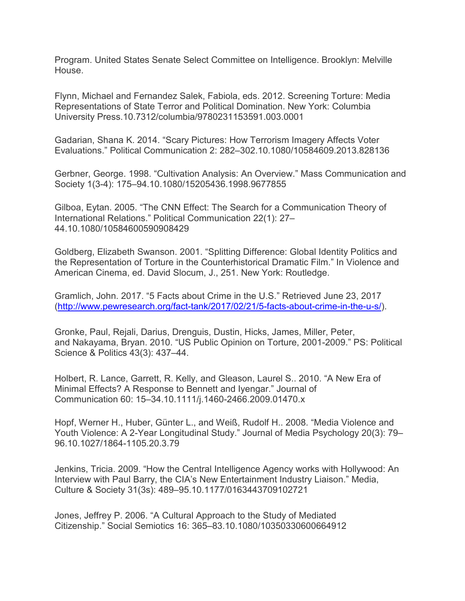Program. United States Senate Select Committee on Intelligence. Brooklyn: Melville **House** 

Flynn, Michael and Fernandez Salek, Fabiola, eds. 2012. Screening Torture: Media Representations of State Terror and Political Domination. New York: Columbia University Press.10.7312/columbia/9780231153591.003.0001

Gadarian, Shana K. 2014. "Scary Pictures: How Terrorism Imagery Affects Voter Evaluations." Political Communication 2: 282–302.10.1080/10584609.2013.828136

Gerbner, George. 1998. "Cultivation Analysis: An Overview." Mass Communication and Society 1(3-4): 175–94.10.1080/15205436.1998.9677855

Gilboa, Eytan. 2005. "The CNN Effect: The Search for a Communication Theory of International Relations." Political Communication 22(1): 27– 44.10.1080/10584600590908429

Goldberg, Elizabeth Swanson. 2001. "Splitting Difference: Global Identity Politics and the Representation of Torture in the Counterhistorical Dramatic Film." In Violence and American Cinema, ed. David Slocum, J., 251. New York: Routledge.

Gramlich, John. 2017. "5 Facts about Crime in the U.S." Retrieved June 23, 2017 [\(http://www.pewresearch.org/fact-tank/2017/02/21/5-facts-about-crime-in-the-u-s/\)](http://www.pewresearch.org/fact-tank/2017/02/21/5-facts-about-crime-in-the-u-s/).

Gronke, Paul, Rejali, Darius, Drenguis, Dustin, Hicks, James, Miller, Peter, and Nakayama, Bryan. 2010. "US Public Opinion on Torture, 2001-2009." PS: Political Science & Politics 43(3): 437–44.

Holbert, R. Lance, Garrett, R. Kelly, and Gleason, Laurel S.. 2010. "A New Era of Minimal Effects? A Response to Bennett and Iyengar." Journal of Communication 60: 15–34.10.1111/j.1460-2466.2009.01470.x

Hopf, Werner H., Huber, Günter L., and Weiß, Rudolf H.. 2008. "Media Violence and Youth Violence: A 2-Year Longitudinal Study." Journal of Media Psychology 20(3): 79– 96.10.1027/1864-1105.20.3.79

Jenkins, Tricia. 2009. "How the Central Intelligence Agency works with Hollywood: An Interview with Paul Barry, the CIA's New Entertainment Industry Liaison." Media, Culture & Society 31(3s): 489–95.10.1177/0163443709102721

Jones, Jeffrey P. 2006. "A Cultural Approach to the Study of Mediated Citizenship." Social Semiotics 16: 365–83.10.1080/10350330600664912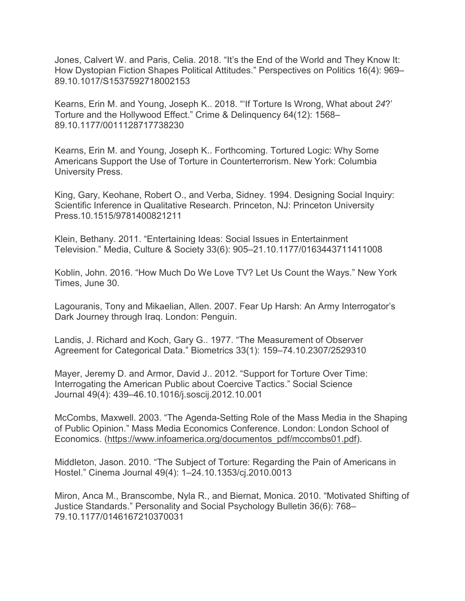Jones, Calvert W. and Paris, Celia. 2018. "It's the End of the World and They Know It: How Dystopian Fiction Shapes Political Attitudes." Perspectives on Politics 16(4): 969– 89.10.1017/S1537592718002153

Kearns, Erin M. and Young, Joseph K.. 2018. "'If Torture Is Wrong, What about *24*?' Torture and the Hollywood Effect." Crime & Delinquency 64(12): 1568– 89.10.1177/0011128717738230

Kearns, Erin M. and Young, Joseph K.. Forthcoming. Tortured Logic: Why Some Americans Support the Use of Torture in Counterterrorism. New York: Columbia University Press.

King, Gary, Keohane, Robert O., and Verba, Sidney. 1994. Designing Social Inquiry: Scientific Inference in Qualitative Research. Princeton, NJ: Princeton University Press.10.1515/9781400821211

Klein, Bethany. 2011. "Entertaining Ideas: Social Issues in Entertainment Television." Media, Culture & Society 33(6): 905–21.10.1177/0163443711411008

Koblin, John. 2016. "How Much Do We Love TV? Let Us Count the Ways." New York Times, June 30.

Lagouranis, Tony and Mikaelian, Allen. 2007. Fear Up Harsh: An Army Interrogator's Dark Journey through Iraq. London: Penguin.

Landis, J. Richard and Koch, Gary G.. 1977. "The Measurement of Observer Agreement for Categorical Data." Biometrics 33(1): 159–74.10.2307/2529310

Mayer, Jeremy D. and Armor, David J.. 2012. "Support for Torture Over Time: Interrogating the American Public about Coercive Tactics." Social Science Journal 49(4): 439–46.10.1016/j.soscij.2012.10.001

McCombs, Maxwell. 2003. "The Agenda-Setting Role of the Mass Media in the Shaping of Public Opinion." Mass Media Economics Conference. London: London School of Economics. [\(https://www.infoamerica.org/documentos\\_pdf/mccombs01.pdf\)](https://www.infoamerica.org/documentos_pdf/mccombs01.pdf).

Middleton, Jason. 2010. "The Subject of Torture: Regarding the Pain of Americans in Hostel." Cinema Journal 49(4): 1–24.10.1353/cj.2010.0013

Miron, Anca M., Branscombe, Nyla R., and Biernat, Monica. 2010. "Motivated Shifting of Justice Standards." Personality and Social Psychology Bulletin 36(6): 768– 79.10.1177/0146167210370031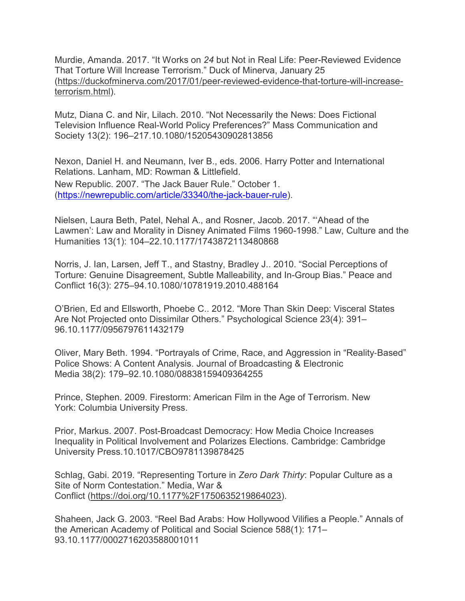Murdie, Amanda. 2017. "It Works on *24* but Not in Real Life: Peer-Reviewed Evidence That Torture Will Increase Terrorism." Duck of Minerva, January 25 [\(https://duckofminerva.com/2017/01/peer-reviewed-evidence-that-torture-will-increase](https://duckofminerva.com/2017/01/peer-reviewed-evidence-that-torture-will-increase-terrorism.html)[terrorism.html\)](https://duckofminerva.com/2017/01/peer-reviewed-evidence-that-torture-will-increase-terrorism.html).

Mutz, Diana C. and Nir, Lilach. 2010. "Not Necessarily the News: Does Fictional Television Influence Real-World Policy Preferences?" Mass Communication and Society 13(2): 196–217.10.1080/15205430902813856

Nexon, Daniel H. and Neumann, Iver B., eds. 2006. Harry Potter and International Relations. Lanham, MD: Rowman & Littlefield. New Republic. 2007. "The Jack Bauer Rule." October 1. [\(https://newrepublic.com/article/33340/the-jack-bauer-rule\)](https://newrepublic.com/article/33340/the-jack-bauer-rule).

Nielsen, Laura Beth, Patel, Nehal A., and Rosner, Jacob. 2017. "'Ahead of the Lawmen': Law and Morality in Disney Animated Films 1960-1998." Law, Culture and the Humanities 13(1): 104–22.10.1177/1743872113480868

Norris, J. Ian, Larsen, Jeff T., and Stastny, Bradley J.. 2010. "Social Perceptions of Torture: Genuine Disagreement, Subtle Malleability, and In-Group Bias." Peace and Conflict 16(3): 275–94.10.1080/10781919.2010.488164

O'Brien, Ed and Ellsworth, Phoebe C.. 2012. "More Than Skin Deep: Visceral States Are Not Projected onto Dissimilar Others." Psychological Science 23(4): 391– 96.10.1177/0956797611432179

Oliver, Mary Beth. 1994. "Portrayals of Crime, Race, and Aggression in "Reality‐Based" Police Shows: A Content Analysis. Journal of Broadcasting & Electronic Media 38(2): 179–92.10.1080/08838159409364255

Prince, Stephen. 2009. Firestorm: American Film in the Age of Terrorism. New York: Columbia University Press.

Prior, Markus. 2007. Post-Broadcast Democracy: How Media Choice Increases Inequality in Political Involvement and Polarizes Elections. Cambridge: Cambridge University Press.10.1017/CBO9781139878425

Schlag, Gabi. 2019. "Representing Torture in *Zero Dark Thirty*: Popular Culture as a Site of Norm Contestation." Media, War & Conflict [\(https://doi.org/10.1177%2F1750635219864023\)](https://doi.org/10.1177%2F1750635219864023).

Shaheen, Jack G. 2003. "Reel Bad Arabs: How Hollywood Vilifies a People." Annals of the American Academy of Political and Social Science 588(1): 171– 93.10.1177/0002716203588001011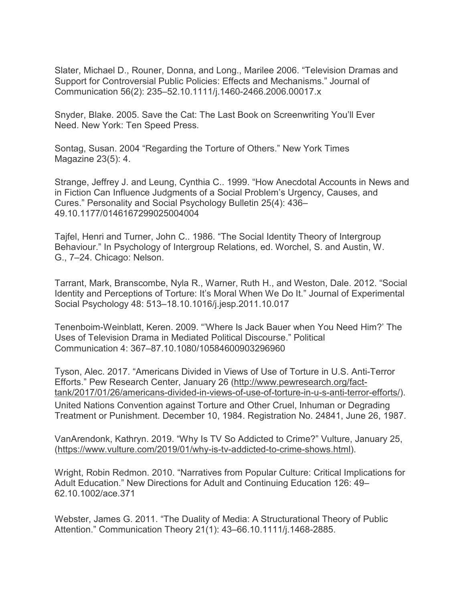Slater, Michael D., Rouner, Donna, and Long., Marilee 2006. "Television Dramas and Support for Controversial Public Policies: Effects and Mechanisms." Journal of Communication 56(2): 235–52.10.1111/j.1460-2466.2006.00017.x

Snyder, Blake. 2005. Save the Cat: The Last Book on Screenwriting You'll Ever Need. New York: Ten Speed Press.

Sontag, Susan. 2004 "Regarding the Torture of Others." New York Times Magazine 23(5): 4.

Strange, Jeffrey J. and Leung, Cynthia C.. 1999. "How Anecdotal Accounts in News and in Fiction Can Influence Judgments of a Social Problem's Urgency, Causes, and Cures." Personality and Social Psychology Bulletin 25(4): 436– 49.10.1177/0146167299025004004

Tajfel, Henri and Turner, John C.. 1986. "The Social Identity Theory of Intergroup Behaviour." In Psychology of Intergroup Relations, ed. Worchel, S. and Austin, W. G., 7–24. Chicago: Nelson.

Tarrant, Mark, Branscombe, Nyla R., Warner, Ruth H., and Weston, Dale. 2012. "Social Identity and Perceptions of Torture: It's Moral When We Do It." Journal of Experimental Social Psychology 48: 513–18.10.1016/j.jesp.2011.10.017

Tenenboim-Weinblatt, Keren. 2009. "'Where Is Jack Bauer when You Need Him?' The Uses of Television Drama in Mediated Political Discourse." Political Communication 4: 367–87.10.1080/10584600903296960

Tyson, Alec. 2017. "Americans Divided in Views of Use of Torture in U.S. Anti-Terror Efforts." Pew Research Center, January 26 [\(http://www.pewresearch.org/fact](http://www.pewresearch.org/fact-tank/2017/01/26/americans-divided-in-views-of-use-of-torture-in-u-s-anti-terror-efforts/)[tank/2017/01/26/americans-divided-in-views-of-use-of-torture-in-u-s-anti-terror-efforts/\)](http://www.pewresearch.org/fact-tank/2017/01/26/americans-divided-in-views-of-use-of-torture-in-u-s-anti-terror-efforts/). United Nations Convention against Torture and Other Cruel, Inhuman or Degrading Treatment or Punishment. December 10, 1984. Registration No. 24841, June 26, 1987.

VanArendonk, Kathryn. 2019. "Why Is TV So Addicted to Crime?" Vulture, January 25, [\(https://www.vulture.com/2019/01/why-is-tv-addicted-to-crime-shows.html\)](https://www.vulture.com/2019/01/why-is-tv-addicted-to-crime-shows.html).

Wright, Robin Redmon. 2010. "Narratives from Popular Culture: Critical Implications for Adult Education." New Directions for Adult and Continuing Education 126: 49– 62.10.1002/ace.371

Webster, James G. 2011. "The Duality of Media: A Structurational Theory of Public Attention." Communication Theory 21(1): 43–66.10.1111/j.1468-2885.